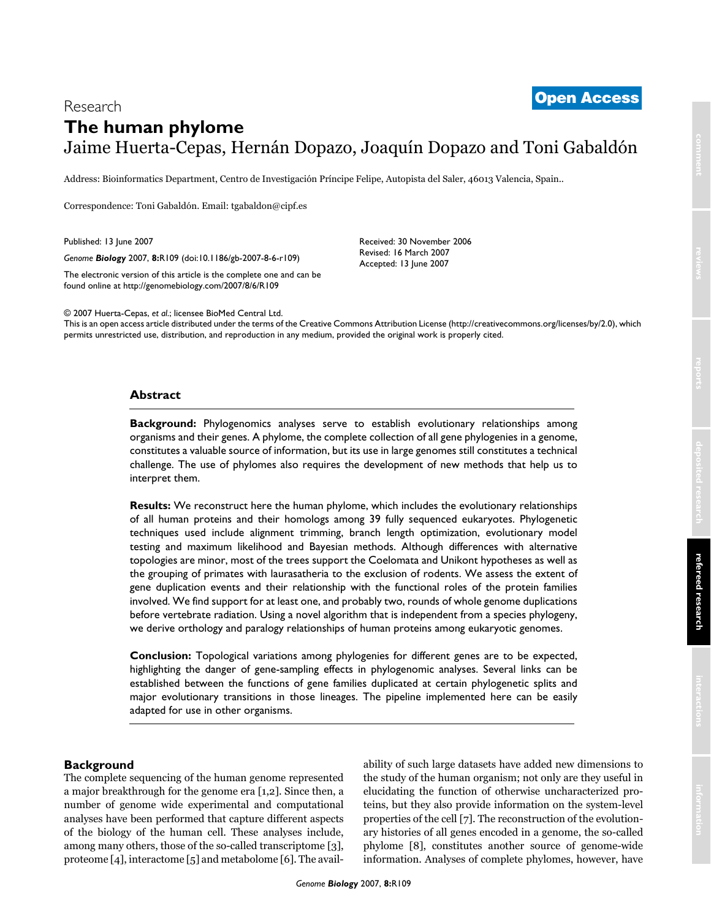Address: Bioinformatics Department, Centro de Investigación Príncipe Felipe, Autopista del Saler, 46013 Valencia, Spain..

Correspondence: Toni Gabaldón. Email: tgabaldon@cipf.es

Published: 13 June 2007

*Genome Biology* 2007, **8:**R109 (doi:10.1186/gb-2007-8-6-r109)

[The electronic version of this article is the complete one and can be](http://genomebiology.com/2007/8/6/R109)  found online at http://genomebiology.com/2007/8/6/R109

Received: 30 November 2006 Revised: 16 March 2007 Accepted: 13 June 2007

© 2007 Huerta-Cepas, *et al*.; licensee BioMed Central Ltd.

[This is an open access article distributed under the terms of the Creative Commons Attribution License \(http://creativecommons.org/licenses/by/2.0\), which](http://creativecommons.org/licenses/by/2.0)  permits unrestricted use, distribution, and reproduction in any medium, provided the original work is properly cited.

# **Abstract**

**Background:** Phylogenomics analyses serve to establish evolutionary relationships among organisms and their genes. A phylome, the complete collection of all gene phylogenies in a genome, constitutes a valuable source of information, but its use in large genomes still constitutes a technical challenge. The use of phylomes also requires the development of new methods that help us to interpret them.

**Results:** We reconstruct here the human phylome, which includes the evolutionary relationships of all human proteins and their homologs among 39 fully sequenced eukaryotes. Phylogenetic techniques used include alignment trimming, branch length optimization, evolutionary model testing and maximum likelihood and Bayesian methods. Although differences with alternative topologies are minor, most of the trees support the Coelomata and Unikont hypotheses as well as the grouping of primates with laurasatheria to the exclusion of rodents. We assess the extent of gene duplication events and their relationship with the functional roles of the protein families involved. We find support for at least one, and probably two, rounds of whole genome duplications before vertebrate radiation. Using a novel algorithm that is independent from a species phylogeny, we derive orthology and paralogy relationships of human proteins among eukaryotic genomes.

**Conclusion:** Topological variations among phylogenies for different genes are to be expected, highlighting the danger of gene-sampling effects in phylogenomic analyses. Several links can be established between the functions of gene families duplicated at certain phylogenetic splits and major evolutionary transitions in those lineages. The pipeline implemented here can be easily adapted for use in other organisms.

#### **Background**

The complete sequencing of the human genome represented a major breakthrough for the genome era [1,2]. Since then, a number of genome wide experimental and computational analyses have been performed that capture different aspects of the biology of the human cell. These analyses include, among many others, those of the so-called transcriptome [3], proteome [4], interactome [5] and metabolome [6]. The availability of such large datasets have added new dimensions to the study of the human organism; not only are they useful in elucidating the function of otherwise uncharacterized proteins, but they also provide information on the system-level properties of the cell [7]. The reconstruction of the evolutionary histories of all genes encoded in a genome, the so-called phylome [8], constitutes another source of genome-wide information. Analyses of complete phylomes, however, have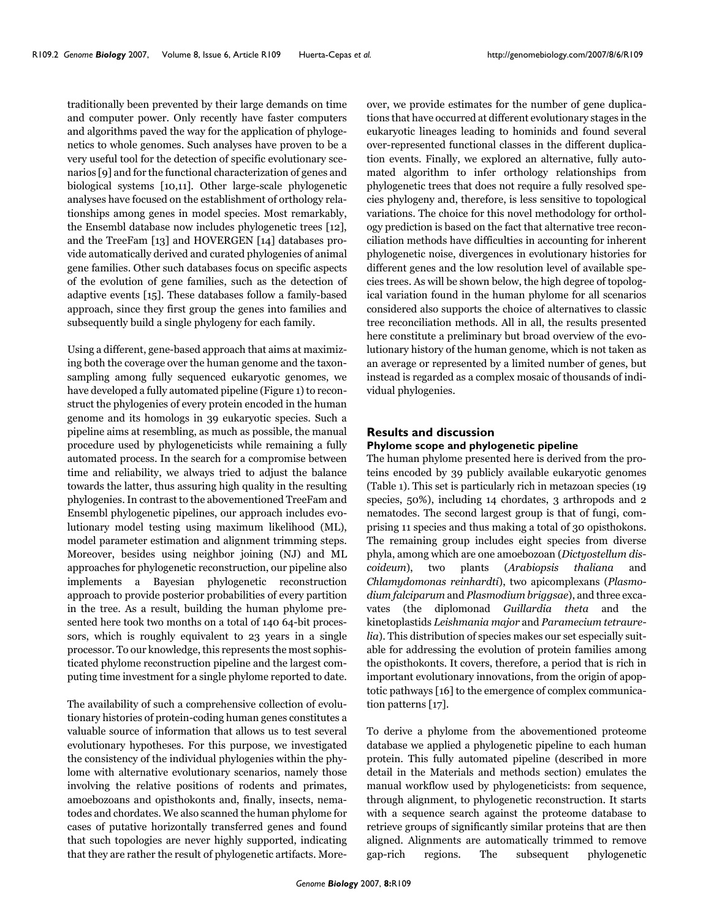traditionally been prevented by their large demands on time and computer power. Only recently have faster computers and algorithms paved the way for the application of phylogenetics to whole genomes. Such analyses have proven to be a very useful tool for the detection of specific evolutionary scenarios [9] and for the functional characterization of genes and biological systems [10,11]. Other large-scale phylogenetic analyses have focused on the establishment of orthology relationships among genes in model species. Most remarkably, the Ensembl database now includes phylogenetic trees [12], and the TreeFam [13] and HOVERGEN [14] databases provide automatically derived and curated phylogenies of animal gene families. Other such databases focus on specific aspects of the evolution of gene families, such as the detection of adaptive events [15]. These databases follow a family-based approach, since they first group the genes into families and subsequently build a single phylogeny for each family.

Using a different, gene-based approach that aims at maximizing both the coverage over the human genome and the taxonsampling among fully sequenced eukaryotic genomes, we have developed a fully automated pipeline (Figure [1\)](#page-2-0) to reconstruct the phylogenies of every protein encoded in the human genome and its homologs in 39 eukaryotic species. Such a pipeline aims at resembling, as much as possible, the manual procedure used by phylogeneticists while remaining a fully automated process. In the search for a compromise between time and reliability, we always tried to adjust the balance towards the latter, thus assuring high quality in the resulting phylogenies. In contrast to the abovementioned TreeFam and Ensembl phylogenetic pipelines, our approach includes evolutionary model testing using maximum likelihood (ML), model parameter estimation and alignment trimming steps. Moreover, besides using neighbor joining (NJ) and ML approaches for phylogenetic reconstruction, our pipeline also implements a Bayesian phylogenetic reconstruction approach to provide posterior probabilities of every partition in the tree. As a result, building the human phylome presented here took two months on a total of 140 64-bit processors, which is roughly equivalent to 23 years in a single processor. To our knowledge, this represents the most sophisticated phylome reconstruction pipeline and the largest computing time investment for a single phylome reported to date.

The availability of such a comprehensive collection of evolutionary histories of protein-coding human genes constitutes a valuable source of information that allows us to test several evolutionary hypotheses. For this purpose, we investigated the consistency of the individual phylogenies within the phylome with alternative evolutionary scenarios, namely those involving the relative positions of rodents and primates, amoebozoans and opisthokonts and, finally, insects, nematodes and chordates. We also scanned the human phylome for cases of putative horizontally transferred genes and found that such topologies are never highly supported, indicating that they are rather the result of phylogenetic artifacts. Moreover, we provide estimates for the number of gene duplications that have occurred at different evolutionary stages in the eukaryotic lineages leading to hominids and found several over-represented functional classes in the different duplication events. Finally, we explored an alternative, fully automated algorithm to infer orthology relationships from phylogenetic trees that does not require a fully resolved species phylogeny and, therefore, is less sensitive to topological variations. The choice for this novel methodology for orthology prediction is based on the fact that alternative tree reconciliation methods have difficulties in accounting for inherent phylogenetic noise, divergences in evolutionary histories for different genes and the low resolution level of available species trees. As will be shown below, the high degree of topological variation found in the human phylome for all scenarios considered also supports the choice of alternatives to classic tree reconciliation methods. All in all, the results presented here constitute a preliminary but broad overview of the evolutionary history of the human genome, which is not taken as an average or represented by a limited number of genes, but instead is regarded as a complex mosaic of thousands of individual phylogenies.

# **Results and discussion**

## **Phylome scope and phylogenetic pipeline**

The human phylome presented here is derived from the proteins encoded by 39 publicly available eukaryotic genomes (Table [1](#page-3-0)). This set is particularly rich in metazoan species (19 species, 50%), including 14 chordates, 3 arthropods and 2 nematodes. The second largest group is that of fungi, comprising 11 species and thus making a total of 30 opisthokons. The remaining group includes eight species from diverse phyla, among which are one amoebozoan (*Dictyostellum discoideum*), two plants (*Arabiopsis thaliana* and *Chlamydomonas reinhardti*), two apicomplexans (*Plasmodium falciparum* and *Plasmodium briggsae*), and three excavates (the diplomonad *Guillardia theta* and the kinetoplastids *Leishmania major* and *Paramecium tetraurelia*). This distribution of species makes our set especially suitable for addressing the evolution of protein families among the opisthokonts. It covers, therefore, a period that is rich in important evolutionary innovations, from the origin of apoptotic pathways [16] to the emergence of complex communication patterns [17].

To derive a phylome from the abovementioned proteome database we applied a phylogenetic pipeline to each human protein. This fully automated pipeline (described in more detail in the Materials and methods section) emulates the manual workflow used by phylogeneticists: from sequence, through alignment, to phylogenetic reconstruction. It starts with a sequence search against the proteome database to retrieve groups of significantly similar proteins that are then aligned. Alignments are automatically trimmed to remove gap-rich regions. The subsequent phylogenetic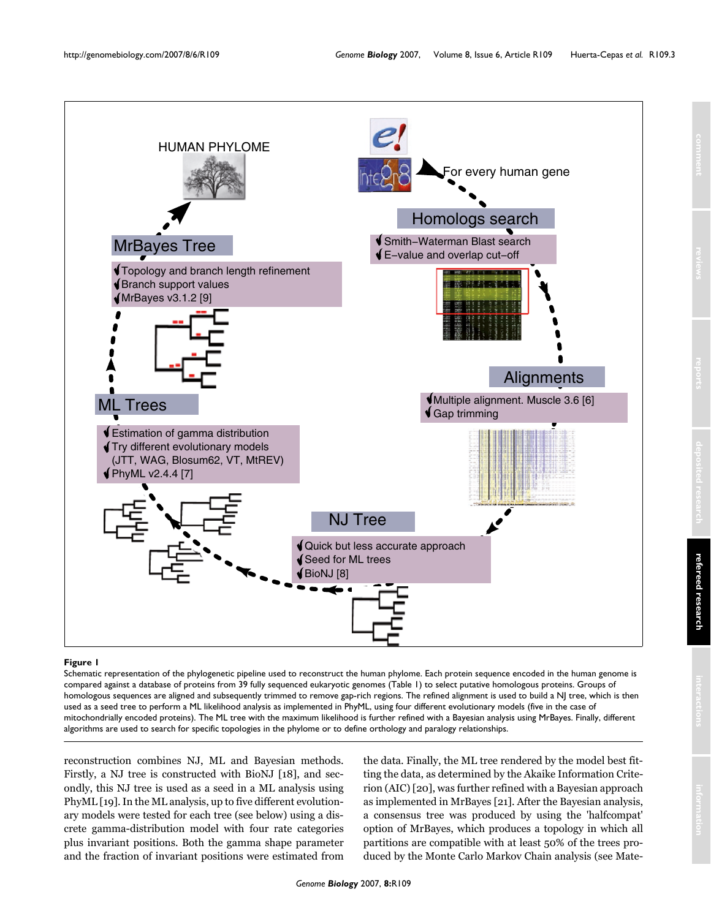<span id="page-2-0"></span>

#### Schematic representation of the phylogenetic pipeline used to reconstruct the human phylome **Figure 1**

Schematic representation of the phylogenetic pipeline used to reconstruct the human phylome. Each protein sequence encoded in the human genome is compared against a database of proteins from 39 fully sequenced eukaryotic genomes (Table 1) to select putative homologous proteins. Groups of homologous sequences are aligned and subsequently trimmed to remove gap-rich regions. The refined alignment is used to build a NJ tree, which is then used as a seed tree to perform a ML likelihood analysis as implemented in PhyML, using four different evolutionary models (five in the case of mitochondrially encoded proteins). The ML tree with the maximum likelihood is further refined with a Bayesian analysis using MrBayes. Finally, different algorithms are used to search for specific topologies in the phylome or to define orthology and paralogy relationships.

reconstruction combines NJ, ML and Bayesian methods. Firstly, a NJ tree is constructed with BioNJ [18], and secondly, this NJ tree is used as a seed in a ML analysis using PhyML [19]. In the ML analysis, up to five different evolutionary models were tested for each tree (see below) using a discrete gamma-distribution model with four rate categories plus invariant positions. Both the gamma shape parameter and the fraction of invariant positions were estimated from the data. Finally, the ML tree rendered by the model best fitting the data, as determined by the Akaike Information Criterion (AIC) [20], was further refined with a Bayesian approach as implemented in MrBayes [21]. After the Bayesian analysis, a consensus tree was produced by using the 'halfcompat' option of MrBayes, which produces a topology in which all partitions are compatible with at least 50% of the trees produced by the Monte Carlo Markov Chain analysis (see Mate-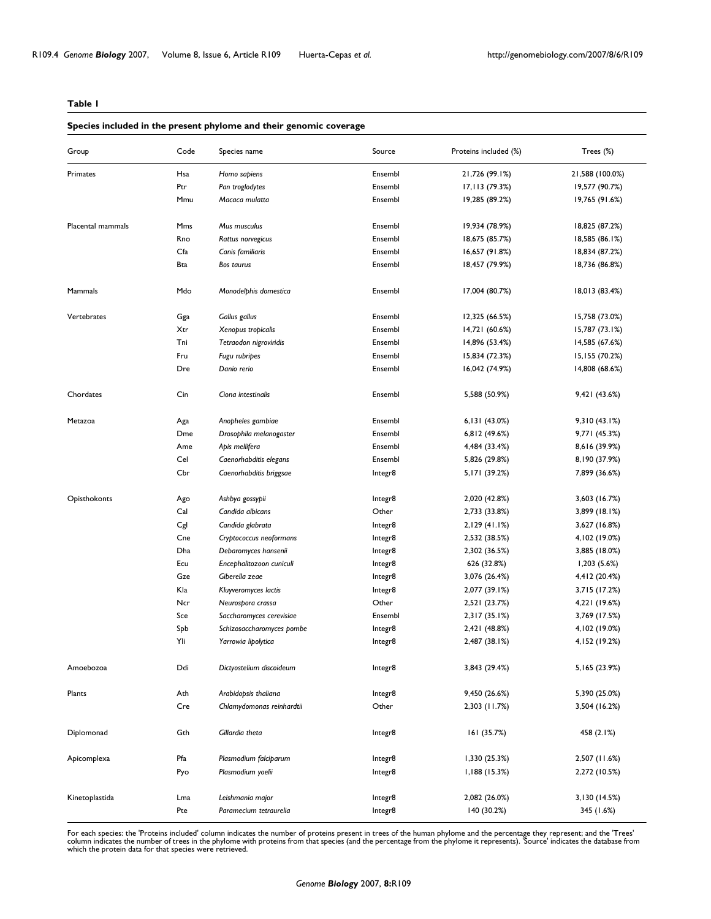#### <span id="page-3-0"></span>**Table 1**

#### **Species included in the present phylome and their genomic coverage**

| Group             | Code | Species name              | Source  | Proteins included (%) | Trees (%)       |
|-------------------|------|---------------------------|---------|-----------------------|-----------------|
| Primates          | Hsa  | Homo sapiens              | Ensembl | 21,726 (99.1%)        | 21,588 (100.0%) |
|                   | Ptr  | Pan troglodytes           | Ensembl | 17,113 (79.3%)        | 19,577 (90.7%)  |
|                   | Mmu  | Macaca mulatta            | Ensembl | 19,285 (89.2%)        | 19,765 (91.6%)  |
| Placental mammals | Mms  | Mus musculus              | Ensembl | 19,934 (78.9%)        | 18,825 (87.2%)  |
|                   | Rno  | Rattus norvegicus         | Ensembl | 18,675 (85.7%)        | 18,585 (86.1%)  |
|                   | Cfa  | Canis familiaris          | Ensembl | 16,657 (91.8%)        | 18,834 (87.2%)  |
|                   | Bta  | <b>Bos taurus</b>         | Ensembl | 18,457 (79.9%)        | 18,736 (86.8%)  |
| Mammals           | Mdo  | Monodelphis domestica     | Ensembl | 17,004 (80.7%)        | 18,013 (83.4%)  |
| Vertebrates       | Gga  | Gallus gallus             | Ensembl | 12,325 (66.5%)        | 15,758 (73.0%)  |
|                   | Xtr  | Xenopus tropicalis        | Ensembl | 14,721 (60.6%)        | 15,787 (73.1%)  |
|                   | Tni  | Tetraodon nigroviridis    | Ensembl | 14,896 (53.4%)        | 14,585 (67.6%)  |
|                   | Fru  | Fugu rubripes             | Ensembl | 15,834 (72.3%)        | 15,155 (70.2%)  |
|                   | Dre  | Danio rerio               | Ensembl | 16,042 (74.9%)        | 14,808 (68.6%)  |
| Chordates         | Cin  | Ciona intestinalis        | Ensembl | 5,588 (50.9%)         | 9,421 (43.6%)   |
| Metazoa           | Aga  | Anopheles gambiae         | Ensembl | 6,131(43.0%)          | 9,310(43.1%)    |
|                   | Dme  | Drosophila melanogaster   | Ensembl | 6,812 (49.6%)         | 9,771 (45.3%)   |
|                   | Ame  | Apis mellifera            | Ensembl | 4,484 (33.4%)         | 8,616 (39.9%)   |
|                   | Cel  | Caenorhabditis elegans    | Ensembl | 5,826 (29.8%)         | 8,190 (37.9%)   |
|                   | Cbr  | Caenorhabditis briggsae   | Integr8 | 5,171 (39.2%)         | 7,899 (36.6%)   |
| Opisthokonts      | Ago  | Ashbya gossypii           | Integr8 | 2,020 (42.8%)         | 3,603 (16.7%)   |
|                   | Cal  | Candida albicans          | Other   | 2,733 (33.8%)         | 3,899 (18.1%)   |
|                   | Cgl  | Candida glabrata          | Integr8 | 2,129(41.1%)          | 3,627 (16.8%)   |
|                   | Cne  | Cryptococcus neoformans   | Integr8 | 2,532 (38.5%)         | 4,102 (19.0%)   |
|                   | Dha  | Debaromyces hansenii      | Integr8 | 2,302 (36.5%)         | 3,885 (18.0%)   |
|                   | Ecu  | Encephalitozoon cuniculi  | Integr8 | 626 (32.8%)           | 1,203(5.6%)     |
|                   | Gze  | Giberella zeae            | Integr8 | 3,076 (26.4%)         | 4,412 (20.4%)   |
|                   | Kla  | Kluyveromyces lactis      | Integr8 | 2,077 (39.1%)         | 3,715 (17.2%)   |
|                   | Ncr  | Neurospora crassa         | Other   | 2,521 (23.7%)         | 4,221 (19.6%)   |
|                   | Sce  | Saccharomyces cerevisiae  | Ensembl | 2,317 (35.1%)         | 3,769 (17.5%)   |
|                   | Spb  | Schizosaccharomyces pombe | Integr8 | 2,421 (48.8%)         | 4,102 (19.0%)   |
|                   | Yli  | Yarrowia lipolytica       | Integr8 | 2,487 (38.1%)         | 4, 152 (19.2%)  |
| Amoebozoa         | Ddi  | Dictyostelium discoideum  | Integr8 | 3,843 (29.4%)         | 5,165 (23.9%)   |
| Plants            | Ath  | Arabidopsis thaliana      | Integr8 | 9,450 (26.6%)         | 5,390 (25.0%)   |
|                   | Cre  | Chlamydomonas reinhardtii | Other   | 2,303 (11.7%)         | 3,504 (16.2%)   |
| Diplomonad        | Gth  | Gillardia theta           | Integr8 | 161 (35.7%)           | 458 (2.1%)      |
| Apicomplexa       | Pfa  | Plasmodium falciparum     | Integr8 | 1,330 (25.3%)         | 2,507 (11.6%)   |
|                   | Pyo  | Plasmodium yoelii         | Integr8 | 1,188(15.3%)          | 2,272 (10.5%)   |
| Kinetoplastida    | Lma  | Leishmania major          | Integr8 | 2,082 (26.0%)         | 3,130 (14.5%)   |
|                   | Pte  | Paramecium tetraurelia    | Integr8 | 140 (30.2%)           | 345 (1.6%)      |

For each species: the 'Proteins included' column indicates the number of proteins present in trees of the human phylome and the percentage they represent; and the 'Trees'<br>column indicates the number of trees in the phylome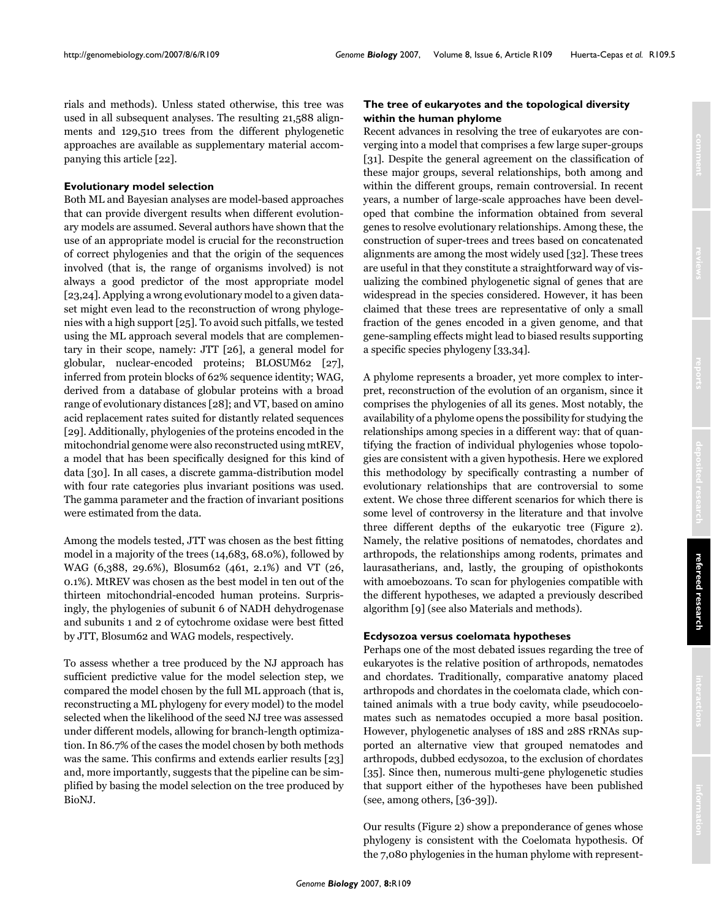rials and methods). Unless stated otherwise, this tree was used in all subsequent analyses. The resulting 21,588 alignments and 129,510 trees from the different phylogenetic approaches are available as supplementary material accompanying this article [22].

## **Evolutionary model selection**

Both ML and Bayesian analyses are model-based approaches that can provide divergent results when different evolutionary models are assumed. Several authors have shown that the use of an appropriate model is crucial for the reconstruction of correct phylogenies and that the origin of the sequences involved (that is, the range of organisms involved) is not always a good predictor of the most appropriate model [23,24]. Applying a wrong evolutionary model to a given dataset might even lead to the reconstruction of wrong phylogenies with a high support [25]. To avoid such pitfalls, we tested using the ML approach several models that are complementary in their scope, namely: JTT [26], a general model for globular, nuclear-encoded proteins; BLOSUM62 [27], inferred from protein blocks of 62% sequence identity; WAG, derived from a database of globular proteins with a broad range of evolutionary distances [28]; and VT, based on amino acid replacement rates suited for distantly related sequences [29]. Additionally, phylogenies of the proteins encoded in the mitochondrial genome were also reconstructed using mtREV, a model that has been specifically designed for this kind of data [30]. In all cases, a discrete gamma-distribution model with four rate categories plus invariant positions was used. The gamma parameter and the fraction of invariant positions were estimated from the data.

Among the models tested, JTT was chosen as the best fitting model in a majority of the trees (14,683, 68.0%), followed by WAG (6,388, 29.6%), Blosum62 (461, 2.1%) and VT (26, 0.1%). MtREV was chosen as the best model in ten out of the thirteen mitochondrial-encoded human proteins. Surprisingly, the phylogenies of subunit 6 of NADH dehydrogenase and subunits 1 and 2 of cytochrome oxidase were best fitted by JTT, Blosum62 and WAG models, respectively.

To assess whether a tree produced by the NJ approach has sufficient predictive value for the model selection step, we compared the model chosen by the full ML approach (that is, reconstructing a ML phylogeny for every model) to the model selected when the likelihood of the seed NJ tree was assessed under different models, allowing for branch-length optimization. In 86.7% of the cases the model chosen by both methods was the same. This confirms and extends earlier results [23] and, more importantly, suggests that the pipeline can be simplified by basing the model selection on the tree produced by BioNJ.

### **The tree of eukaryotes and the topological diversity within the human phylome**

Recent advances in resolving the tree of eukaryotes are converging into a model that comprises a few large super-groups [31]. Despite the general agreement on the classification of these major groups, several relationships, both among and within the different groups, remain controversial. In recent years, a number of large-scale approaches have been developed that combine the information obtained from several genes to resolve evolutionary relationships. Among these, the construction of super-trees and trees based on concatenated alignments are among the most widely used [32]. These trees are useful in that they constitute a straightforward way of visualizing the combined phylogenetic signal of genes that are widespread in the species considered. However, it has been claimed that these trees are representative of only a small fraction of the genes encoded in a given genome, and that gene-sampling effects might lead to biased results supporting a specific species phylogeny [33,34].

A phylome represents a broader, yet more complex to interpret, reconstruction of the evolution of an organism, since it comprises the phylogenies of all its genes. Most notably, the availability of a phylome opens the possibility for studying the relationships among species in a different way: that of quantifying the fraction of individual phylogenies whose topologies are consistent with a given hypothesis. Here we explored this methodology by specifically contrasting a number of evolutionary relationships that are controversial to some extent. We chose three different scenarios for which there is some level of controversy in the literature and that involve three different depths of the eukaryotic tree (Figure 2). Namely, the relative positions of nematodes, chordates and arthropods, the relationships among rodents, primates and laurasatherians, and, lastly, the grouping of opisthokonts with amoebozoans. To scan for phylogenies compatible with the different hypotheses, we adapted a previously described algorithm [9] (see also Materials and methods).

#### **Ecdysozoa versus coelomata hypotheses**

Perhaps one of the most debated issues regarding the tree of eukaryotes is the relative position of arthropods, nematodes and chordates. Traditionally, comparative anatomy placed arthropods and chordates in the coelomata clade, which contained animals with a true body cavity, while pseudocoelomates such as nematodes occupied a more basal position. However, phylogenetic analyses of 18S and 28S rRNAs supported an alternative view that grouped nematodes and arthropods, dubbed ecdysozoa, to the exclusion of chordates [35]. Since then, numerous multi-gene phylogenetic studies that support either of the hypotheses have been published (see, among others, [36-39]).

Our results (Figure 2) show a preponderance of genes whose phylogeny is consistent with the Coelomata hypothesis. Of the 7,080 phylogenies in the human phylome with represent-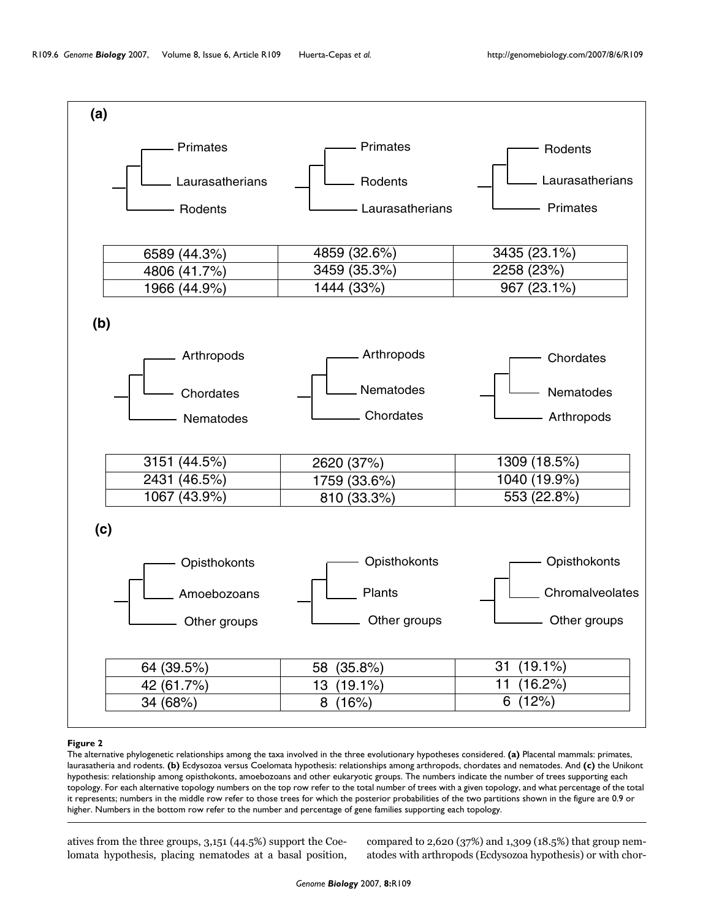

#### The alternative phylogenetic relationsh **Figure 2** ips among the taxa involved in the three evolutionary hypotheses considered

The alternative phylogenetic relationships among the taxa involved in the three evolutionary hypotheses considered. **(a)** Placental mammals: primates, laurasatheria and rodents. **(b)** Ecdysozoa versus Coelomata hypothesis: relationships among arthropods, chordates and nematodes. And **(c)** the Unikont hypothesis: relationship among opisthokonts, amoebozoans and other eukaryotic groups. The numbers indicate the number of trees supporting each topology. For each alternative topology numbers on the top row refer to the total number of trees with a given topology, and what percentage of the total it represents; numbers in the middle row refer to those trees for which the posterior probabilities of the two partitions shown in the figure are 0.9 or higher. Numbers in the bottom row refer to the number and percentage of gene families supporting each topology.

atives from the three groups, 3,151 (44.5%) support the Coelomata hypothesis, placing nematodes at a basal position, compared to 2,620 (37%) and 1,309 (18.5%) that group nematodes with arthropods (Ecdysozoa hypothesis) or with chor-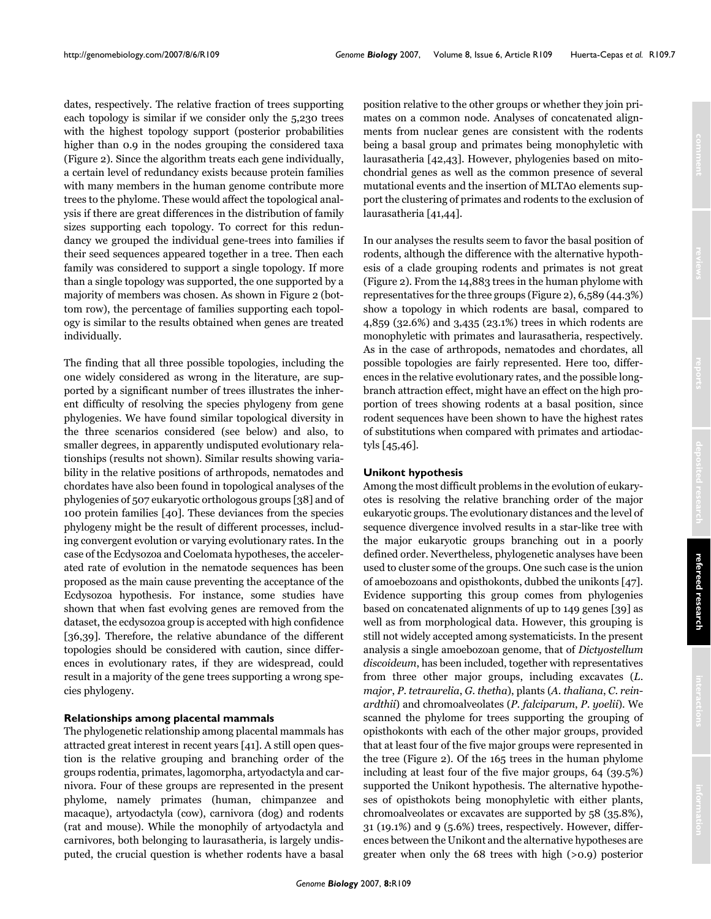dates, respectively. The relative fraction of trees supporting each topology is similar if we consider only the 5,230 trees with the highest topology support (posterior probabilities higher than 0.9 in the nodes grouping the considered taxa (Figure 2). Since the algorithm treats each gene individually, a certain level of redundancy exists because protein families with many members in the human genome contribute more trees to the phylome. These would affect the topological analysis if there are great differences in the distribution of family sizes supporting each topology. To correct for this redundancy we grouped the individual gene-trees into families if their seed sequences appeared together in a tree. Then each family was considered to support a single topology. If more than a single topology was supported, the one supported by a majority of members was chosen. As shown in Figure 2 (bottom row), the percentage of families supporting each topology is similar to the results obtained when genes are treated individually.

The finding that all three possible topologies, including the one widely considered as wrong in the literature, are supported by a significant number of trees illustrates the inherent difficulty of resolving the species phylogeny from gene phylogenies. We have found similar topological diversity in the three scenarios considered (see below) and also, to smaller degrees, in apparently undisputed evolutionary relationships (results not shown). Similar results showing variability in the relative positions of arthropods, nematodes and chordates have also been found in topological analyses of the phylogenies of 507 eukaryotic orthologous groups [38] and of 100 protein families [40]. These deviances from the species phylogeny might be the result of different processes, including convergent evolution or varying evolutionary rates. In the case of the Ecdysozoa and Coelomata hypotheses, the accelerated rate of evolution in the nematode sequences has been proposed as the main cause preventing the acceptance of the Ecdysozoa hypothesis. For instance, some studies have shown that when fast evolving genes are removed from the dataset, the ecdysozoa group is accepted with high confidence [36,39]. Therefore, the relative abundance of the different topologies should be considered with caution, since differences in evolutionary rates, if they are widespread, could result in a majority of the gene trees supporting a wrong species phylogeny.

#### **Relationships among placental mammals**

The phylogenetic relationship among placental mammals has attracted great interest in recent years [41]. A still open question is the relative grouping and branching order of the groups rodentia, primates, lagomorpha, artyodactyla and carnivora. Four of these groups are represented in the present phylome, namely primates (human, chimpanzee and macaque), artyodactyla (cow), carnivora (dog) and rodents (rat and mouse). While the monophily of artyodactyla and carnivores, both belonging to laurasatheria, is largely undisputed, the crucial question is whether rodents have a basal position relative to the other groups or whether they join primates on a common node. Analyses of concatenated alignments from nuclear genes are consistent with the rodents being a basal group and primates being monophyletic with laurasatheria [42,43]. However, phylogenies based on mitochondrial genes as well as the common presence of several mutational events and the insertion of MLTA0 elements support the clustering of primates and rodents to the exclusion of laurasatheria [41,44].

In our analyses the results seem to favor the basal position of rodents, although the difference with the alternative hypothesis of a clade grouping rodents and primates is not great (Figure 2). From the 14,883 trees in the human phylome with representatives for the three groups (Figure 2), 6,589 (44.3%) show a topology in which rodents are basal, compared to 4,859 (32.6%) and 3,435 (23.1%) trees in which rodents are monophyletic with primates and laurasatheria, respectively. As in the case of arthropods, nematodes and chordates, all possible topologies are fairly represented. Here too, differences in the relative evolutionary rates, and the possible longbranch attraction effect, might have an effect on the high proportion of trees showing rodents at a basal position, since rodent sequences have been shown to have the highest rates of substitutions when compared with primates and artiodactyls [45,46].

# **Unikont hypothesis**

Among the most difficult problems in the evolution of eukaryotes is resolving the relative branching order of the major eukaryotic groups. The evolutionary distances and the level of sequence divergence involved results in a star-like tree with the major eukaryotic groups branching out in a poorly defined order. Nevertheless, phylogenetic analyses have been used to cluster some of the groups. One such case is the union of amoebozoans and opisthokonts, dubbed the unikonts [47]. Evidence supporting this group comes from phylogenies based on concatenated alignments of up to 149 genes [39] as well as from morphological data. However, this grouping is still not widely accepted among systematicists. In the present analysis a single amoebozoan genome, that of *Dictyostellum discoideum*, has been included, together with representatives from three other major groups, including excavates (*L*. *major*, *P*. *tetraurelia*, *G*. *thetha*), plants (*A*. *thaliana*, *C*. *reinardthii*) and chromoalveolates (*P*. *falciparum*, *P*. *yoelii*). We scanned the phylome for trees supporting the grouping of opisthokonts with each of the other major groups, provided that at least four of the five major groups were represented in the tree (Figure 2). Of the 165 trees in the human phylome including at least four of the five major groups, 64 (39.5%) supported the Unikont hypothesis. The alternative hypotheses of opisthokots being monophyletic with either plants, chromoalveolates or excavates are supported by 58 (35.8%), 31 (19.1%) and 9 (5.6%) trees, respectively. However, differences between the Unikont and the alternative hypotheses are greater when only the 68 trees with high (>0.9) posterior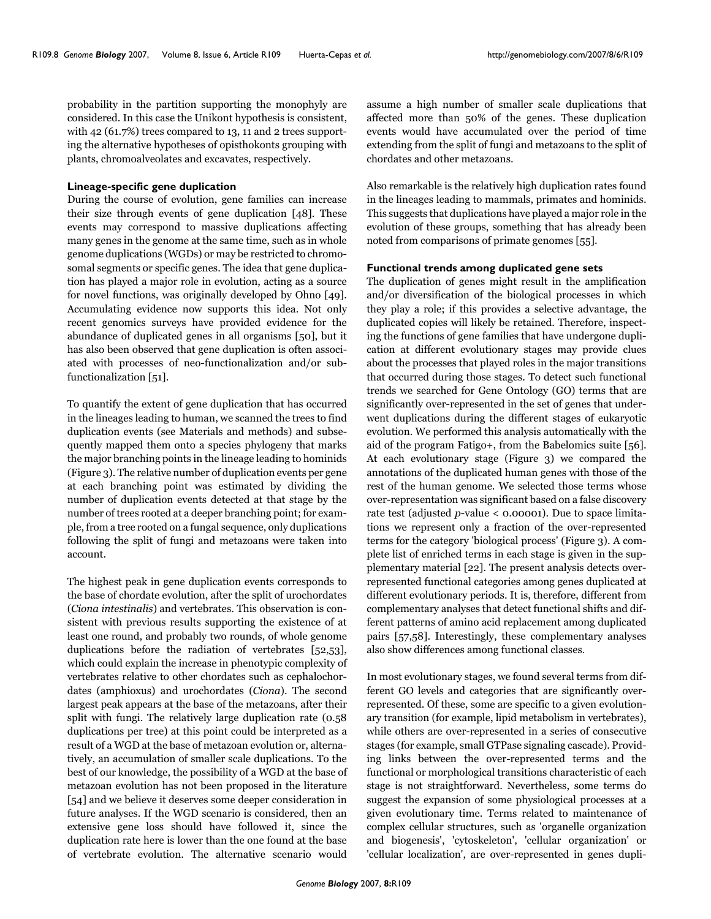probability in the partition supporting the monophyly are considered. In this case the Unikont hypothesis is consistent, with 42 (61.7%) trees compared to 13, 11 and 2 trees supporting the alternative hypotheses of opisthokonts grouping with plants, chromoalveolates and excavates, respectively.

## **Lineage-specific gene duplication**

During the course of evolution, gene families can increase their size through events of gene duplication [48]. These events may correspond to massive duplications affecting many genes in the genome at the same time, such as in whole genome duplications (WGDs) or may be restricted to chromosomal segments or specific genes. The idea that gene duplication has played a major role in evolution, acting as a source for novel functions, was originally developed by Ohno [49]. Accumulating evidence now supports this idea. Not only recent genomics surveys have provided evidence for the abundance of duplicated genes in all organisms [50], but it has also been observed that gene duplication is often associated with processes of neo-functionalization and/or subfunctionalization [51].

To quantify the extent of gene duplication that has occurred in the lineages leading to human, we scanned the trees to find duplication events (see Materials and methods) and subsequently mapped them onto a species phylogeny that marks the major branching points in the lineage leading to hominids (Figure [3\)](#page-8-0). The relative number of duplication events per gene at each branching point was estimated by dividing the number of duplication events detected at that stage by the number of trees rooted at a deeper branching point; for example, from a tree rooted on a fungal sequence, only duplications following the split of fungi and metazoans were taken into account.

The highest peak in gene duplication events corresponds to the base of chordate evolution, after the split of urochordates (*Ciona intestinalis*) and vertebrates. This observation is consistent with previous results supporting the existence of at least one round, and probably two rounds, of whole genome duplications before the radiation of vertebrates [52,53], which could explain the increase in phenotypic complexity of vertebrates relative to other chordates such as cephalochordates (amphioxus) and urochordates (*Ciona*). The second largest peak appears at the base of the metazoans, after their split with fungi. The relatively large duplication rate (0.58 duplications per tree) at this point could be interpreted as a result of a WGD at the base of metazoan evolution or, alternatively, an accumulation of smaller scale duplications. To the best of our knowledge, the possibility of a WGD at the base of metazoan evolution has not been proposed in the literature [54] and we believe it deserves some deeper consideration in future analyses. If the WGD scenario is considered, then an extensive gene loss should have followed it, since the duplication rate here is lower than the one found at the base of vertebrate evolution. The alternative scenario would

assume a high number of smaller scale duplications that affected more than 50% of the genes. These duplication events would have accumulated over the period of time extending from the split of fungi and metazoans to the split of chordates and other metazoans.

Also remarkable is the relatively high duplication rates found in the lineages leading to mammals, primates and hominids. This suggests that duplications have played a major role in the evolution of these groups, something that has already been noted from comparisons of primate genomes [55].

#### **Functional trends among duplicated gene sets**

The duplication of genes might result in the amplification and/or diversification of the biological processes in which they play a role; if this provides a selective advantage, the duplicated copies will likely be retained. Therefore, inspecting the functions of gene families that have undergone duplication at different evolutionary stages may provide clues about the processes that played roles in the major transitions that occurred during those stages. To detect such functional trends we searched for Gene Ontology (GO) terms that are significantly over-represented in the set of genes that underwent duplications during the different stages of eukaryotic evolution. We performed this analysis automatically with the aid of the program Fatigo+, from the Babelomics suite [56]. At each evolutionary stage (Figure [3](#page-8-0)) we compared the annotations of the duplicated human genes with those of the rest of the human genome. We selected those terms whose over-representation was significant based on a false discovery rate test (adjusted *p*-value < 0.00001). Due to space limitations we represent only a fraction of the over-represented terms for the category 'biological process' (Figure [3\)](#page-8-0). A complete list of enriched terms in each stage is given in the supplementary material [22]. The present analysis detects overrepresented functional categories among genes duplicated at different evolutionary periods. It is, therefore, different from complementary analyses that detect functional shifts and different patterns of amino acid replacement among duplicated pairs [57,58]. Interestingly, these complementary analyses also show differences among functional classes.

In most evolutionary stages, we found several terms from different GO levels and categories that are significantly overrepresented. Of these, some are specific to a given evolutionary transition (for example, lipid metabolism in vertebrates), while others are over-represented in a series of consecutive stages (for example, small GTPase signaling cascade). Providing links between the over-represented terms and the functional or morphological transitions characteristic of each stage is not straightforward. Nevertheless, some terms do suggest the expansion of some physiological processes at a given evolutionary time. Terms related to maintenance of complex cellular structures, such as 'organelle organization and biogenesis', 'cytoskeleton', 'cellular organization' or 'cellular localization', are over-represented in genes dupli-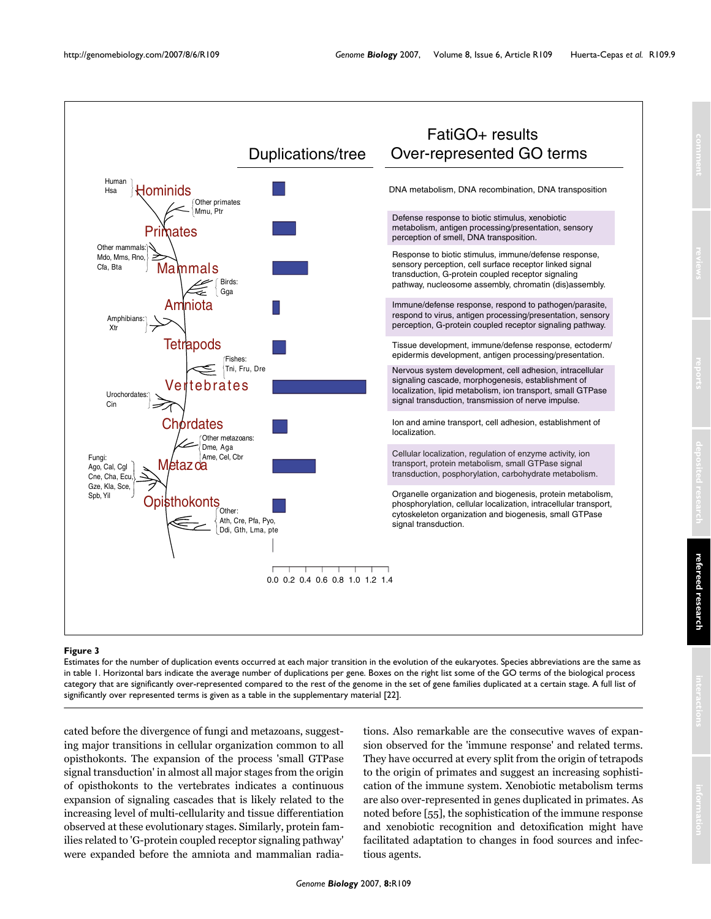<span id="page-8-0"></span>

#### Estimates for the number of duplication **Figure 3** events occurred at each major transition in the evolution of the eukaryotes

Estimates for the number of duplication events occurred at each major transition in the evolution of the eukaryotes. Species abbreviations are the same as in table 1. Horizontal bars indicate the average number of duplications per gene. Boxes on the right list some of the GO terms of the biological process category that are significantly over-represented compared to the rest of the genome in the set of gene families duplicated at a certain stage. A full list of significantly over represented terms is given as a table in the supplementary material [22].

cated before the divergence of fungi and metazoans, suggesting major transitions in cellular organization common to all opisthokonts. The expansion of the process 'small GTPase signal transduction' in almost all major stages from the origin of opisthokonts to the vertebrates indicates a continuous expansion of signaling cascades that is likely related to the increasing level of multi-cellularity and tissue differentiation observed at these evolutionary stages. Similarly, protein families related to 'G-protein coupled receptor signaling pathway' were expanded before the amniota and mammalian radiations. Also remarkable are the consecutive waves of expansion observed for the 'immune response' and related terms. They have occurred at every split from the origin of tetrapods to the origin of primates and suggest an increasing sophistication of the immune system. Xenobiotic metabolism terms are also over-represented in genes duplicated in primates. As noted before [55], the sophistication of the immune response and xenobiotic recognition and detoxification might have facilitated adaptation to changes in food sources and infectious agents.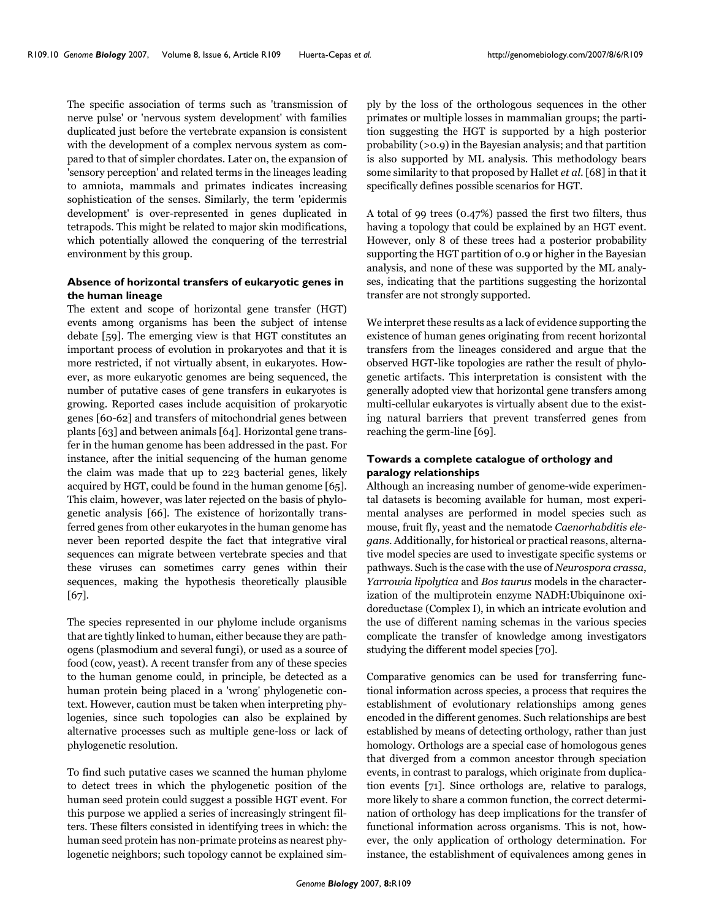The specific association of terms such as 'transmission of nerve pulse' or 'nervous system development' with families duplicated just before the vertebrate expansion is consistent with the development of a complex nervous system as compared to that of simpler chordates. Later on, the expansion of 'sensory perception' and related terms in the lineages leading to amniota, mammals and primates indicates increasing sophistication of the senses. Similarly, the term 'epidermis development' is over-represented in genes duplicated in tetrapods. This might be related to major skin modifications, which potentially allowed the conquering of the terrestrial environment by this group.

# **Absence of horizontal transfers of eukaryotic genes in the human lineage**

The extent and scope of horizontal gene transfer (HGT) events among organisms has been the subject of intense debate [59]. The emerging view is that HGT constitutes an important process of evolution in prokaryotes and that it is more restricted, if not virtually absent, in eukaryotes. However, as more eukaryotic genomes are being sequenced, the number of putative cases of gene transfers in eukaryotes is growing. Reported cases include acquisition of prokaryotic genes [60-62] and transfers of mitochondrial genes between plants [63] and between animals [64]. Horizontal gene transfer in the human genome has been addressed in the past. For instance, after the initial sequencing of the human genome the claim was made that up to 223 bacterial genes, likely acquired by HGT, could be found in the human genome [65]. This claim, however, was later rejected on the basis of phylogenetic analysis [66]. The existence of horizontally transferred genes from other eukaryotes in the human genome has never been reported despite the fact that integrative viral sequences can migrate between vertebrate species and that these viruses can sometimes carry genes within their sequences, making the hypothesis theoretically plausible [67].

The species represented in our phylome include organisms that are tightly linked to human, either because they are pathogens (plasmodium and several fungi), or used as a source of food (cow, yeast). A recent transfer from any of these species to the human genome could, in principle, be detected as a human protein being placed in a 'wrong' phylogenetic context. However, caution must be taken when interpreting phylogenies, since such topologies can also be explained by alternative processes such as multiple gene-loss or lack of phylogenetic resolution.

To find such putative cases we scanned the human phylome to detect trees in which the phylogenetic position of the human seed protein could suggest a possible HGT event. For this purpose we applied a series of increasingly stringent filters. These filters consisted in identifying trees in which: the human seed protein has non-primate proteins as nearest phylogenetic neighbors; such topology cannot be explained simply by the loss of the orthologous sequences in the other primates or multiple losses in mammalian groups; the partition suggesting the HGT is supported by a high posterior probability (>0.9) in the Bayesian analysis; and that partition is also supported by ML analysis. This methodology bears some similarity to that proposed by Hallet *et al*. [68] in that it specifically defines possible scenarios for HGT.

A total of 99 trees (0.47%) passed the first two filters, thus having a topology that could be explained by an HGT event. However, only 8 of these trees had a posterior probability supporting the HGT partition of 0.9 or higher in the Bayesian analysis, and none of these was supported by the ML analyses, indicating that the partitions suggesting the horizontal transfer are not strongly supported.

We interpret these results as a lack of evidence supporting the existence of human genes originating from recent horizontal transfers from the lineages considered and argue that the observed HGT-like topologies are rather the result of phylogenetic artifacts. This interpretation is consistent with the generally adopted view that horizontal gene transfers among multi-cellular eukaryotes is virtually absent due to the existing natural barriers that prevent transferred genes from reaching the germ-line [69].

# **Towards a complete catalogue of orthology and paralogy relationships**

Although an increasing number of genome-wide experimental datasets is becoming available for human, most experimental analyses are performed in model species such as mouse, fruit fly, yeast and the nematode *Caenorhabditis elegans*. Additionally, for historical or practical reasons, alternative model species are used to investigate specific systems or pathways. Such is the case with the use of *Neurospora crassa*, *Yarrowia lipolytica* and *Bos taurus* models in the characterization of the multiprotein enzyme NADH:Ubiquinone oxidoreductase (Complex I), in which an intricate evolution and the use of different naming schemas in the various species complicate the transfer of knowledge among investigators studying the different model species [70].

Comparative genomics can be used for transferring functional information across species, a process that requires the establishment of evolutionary relationships among genes encoded in the different genomes. Such relationships are best established by means of detecting orthology, rather than just homology. Orthologs are a special case of homologous genes that diverged from a common ancestor through speciation events, in contrast to paralogs, which originate from duplication events [71]. Since orthologs are, relative to paralogs, more likely to share a common function, the correct determination of orthology has deep implications for the transfer of functional information across organisms. This is not, however, the only application of orthology determination. For instance, the establishment of equivalences among genes in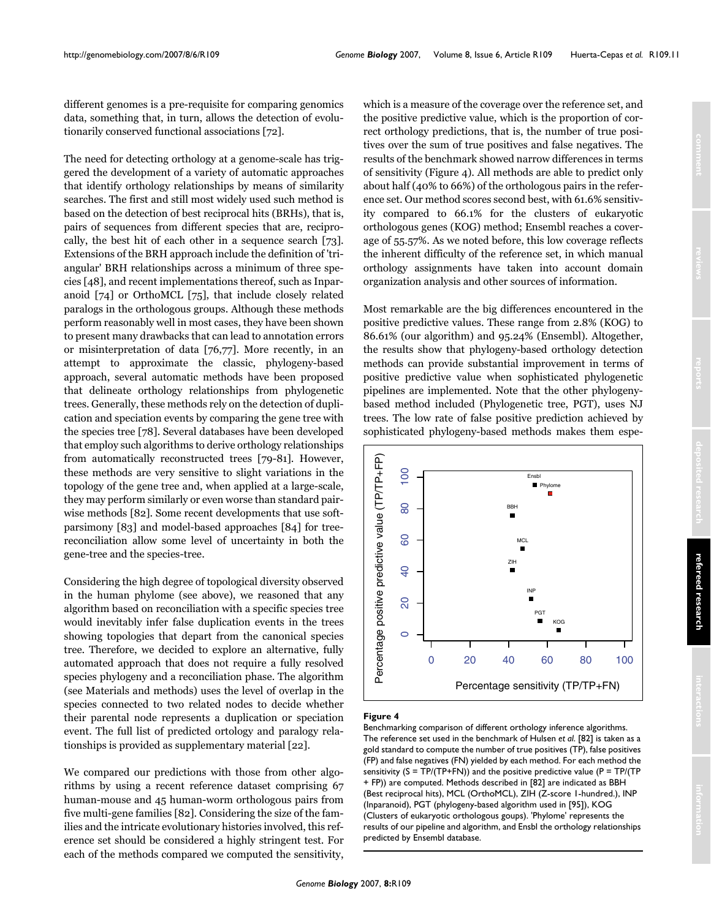different genomes is a pre-requisite for comparing genomics data, something that, in turn, allows the detection of evolutionarily conserved functional associations [72].

The need for detecting orthology at a genome-scale has triggered the development of a variety of automatic approaches that identify orthology relationships by means of similarity searches. The first and still most widely used such method is based on the detection of best reciprocal hits (BRHs), that is, pairs of sequences from different species that are, reciprocally, the best hit of each other in a sequence search [73]. Extensions of the BRH approach include the definition of 'triangular' BRH relationships across a minimum of three species [48], and recent implementations thereof, such as Inparanoid [74] or OrthoMCL [75], that include closely related paralogs in the orthologous groups. Although these methods perform reasonably well in most cases, they have been shown to present many drawbacks that can lead to annotation errors or misinterpretation of data [76,77]. More recently, in an attempt to approximate the classic, phylogeny-based approach, several automatic methods have been proposed that delineate orthology relationships from phylogenetic trees. Generally, these methods rely on the detection of duplication and speciation events by comparing the gene tree with the species tree [78]. Several databases have been developed that employ such algorithms to derive orthology relationships from automatically reconstructed trees [79-81]. However, these methods are very sensitive to slight variations in the topology of the gene tree and, when applied at a large-scale, they may perform similarly or even worse than standard pairwise methods [82]. Some recent developments that use softparsimony [83] and model-based approaches [84] for treereconciliation allow some level of uncertainty in both the gene-tree and the species-tree.

Considering the high degree of topological diversity observed in the human phylome (see above), we reasoned that any algorithm based on reconciliation with a specific species tree would inevitably infer false duplication events in the trees showing topologies that depart from the canonical species tree. Therefore, we decided to explore an alternative, fully automated approach that does not require a fully resolved species phylogeny and a reconciliation phase. The algorithm (see Materials and methods) uses the level of overlap in the species connected to two related nodes to decide whether their parental node represents a duplication or speciation event. The full list of predicted ortology and paralogy relationships is provided as supplementary material [22].

We compared our predictions with those from other algorithms by using a recent reference dataset comprising 67 human-mouse and 45 human-worm orthologous pairs from five multi-gene families [82]. Considering the size of the families and the intricate evolutionary histories involved, this reference set should be considered a highly stringent test. For each of the methods compared we computed the sensitivity,

which is a measure of the coverage over the reference set, and the positive predictive value, which is the proportion of correct orthology predictions, that is, the number of true positives over the sum of true positives and false negatives. The results of the benchmark showed narrow differences in terms of sensitivity (Figure 4). All methods are able to predict only about half (40% to 66%) of the orthologous pairs in the reference set. Our method scores second best, with 61.6% sensitivity compared to 66.1% for the clusters of eukaryotic orthologous genes (KOG) method; Ensembl reaches a coverage of 55.57%. As we noted before, this low coverage reflects the inherent difficulty of the reference set, in which manual orthology assignments have taken into account domain organization analysis and other sources of information.

Most remarkable are the big differences encountered in the positive predictive values. These range from 2.8% (KOG) to 86.61% (our algorithm) and 95.24% (Ensembl). Altogether, the results show that phylogeny-based orthology detection methods can provide substantial improvement in terms of positive predictive value when sophisticated phylogenetic pipelines are implemented. Note that the other phylogenybased method included (Phylogenetic tree, PGT), uses NJ trees. The low rate of false positive prediction achieved by sophisticated phylogeny-based methods makes them espe-



# **Figure 4**

Benchmarking comparison of different orthology inference algorithms. The reference set used in the benchmark of Hulsen *et al*. [82] is taken as a gold standard to compute the number of true positives (TP), false positives (FP) and false negatives (FN) yielded by each method. For each method the sensitivity ( $S = TP/(TP+FN)$ ) and the positive predictive value ( $P = TP/(TP)$ + FP)) are computed. Methods described in [82] are indicated as BBH (Best reciprocal hits), MCL (OrthoMCL), ZIH (Z-score 1-hundred.), INP (Inparanoid), PGT (phylogeny-based algorithm used in [95]), KOG (Clusters of eukaryotic orthologous goups). 'Phylome' represents the results of our pipeline and algorithm, and Ensbl the orthology relationships predicted by Ensembl database.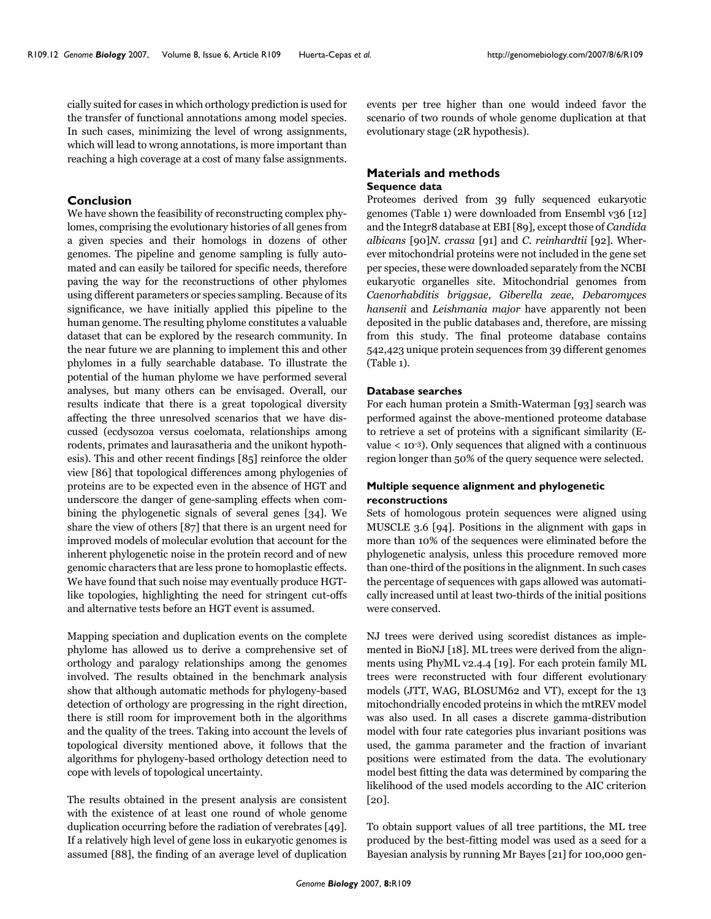cially suited for cases in which orthology prediction is used for the transfer of functional annotations among model species. In such cases, minimizing the level of wrong assignments, which will lead to wrong annotations, is more important than reaching a high coverage at a cost of many false assignments.

### **Conclusion**

We have shown the feasibility of reconstructing complex phylomes, comprising the evolutionary histories of all genes from a given species and their homologs in dozens of other genomes. The pipeline and genome sampling is fully automated and can easily be tailored for specific needs, therefore paving the way for the reconstructions of other phylomes using different parameters or species sampling. Because of its significance, we have initially applied this pipeline to the human genome. The resulting phylome constitutes a valuable dataset that can be explored by the research community. In the near future we are planning to implement this and other phylomes in a fully searchable database. To illustrate the potential of the human phylome we have performed several analyses, but many others can be envisaged. Overall, our results indicate that there is a great topological diversity affecting the three unresolved scenarios that we have discussed (ecdysozoa versus coelomata, relationships among rodents, primates and laurasatheria and the unikont hypothesis). This and other recent findings [85] reinforce the older view [86] that topological differences among phylogenies of proteins are to be expected even in the absence of HGT and underscore the danger of gene-sampling effects when combining the phylogenetic signals of several genes [34]. We share the view of others [87] that there is an urgent need for improved models of molecular evolution that account for the inherent phylogenetic noise in the protein record and of new genomic characters that are less prone to homoplastic effects. We have found that such noise may eventually produce HGTlike topologies, highlighting the need for stringent cut-offs and alternative tests before an HGT event is assumed.

Mapping speciation and duplication events on the complete phylome has allowed us to derive a comprehensive set of orthology and paralogy relationships among the genomes involved. The results obtained in the benchmark analysis show that although automatic methods for phylogeny-based detection of orthology are progressing in the right direction, there is still room for improvement both in the algorithms and the quality of the trees. Taking into account the levels of topological diversity mentioned above, it follows that the algorithms for phylogeny-based orthology detection need to cope with levels of topological uncertainty.

The results obtained in the present analysis are consistent with the existence of at least one round of whole genome duplication occurring before the radiation of verebrates [49]. If a relatively high level of gene loss in eukaryotic genomes is assumed [88], the finding of an average level of duplication

events per tree higher than one would indeed favor the scenario of two rounds of whole genome duplication at that evolutionary stage (2R hypothesis).

## **Materials and methods Sequence data**

Proteomes derived from 39 fully sequenced eukaryotic genomes (Table [1\)](#page-3-0) were downloaded from Ensembl v36 [12] and the Integr8 database at EBI [89], except those of *Candida albicans* [90]*N. crassa* [91] and *C. reinhardtii* [92]. Wherever mitochondrial proteins were not included in the gene set per species, these were downloaded separately from the NCBI eukaryotic organelles site. Mitochondrial genomes from *Caenorhabditis briggsae*, *Giberella zeae*, *Debaromyces hansenii* and *Leishmania major* have apparently not been deposited in the public databases and, therefore, are missing from this study. The final proteome database contains 542,423 unique protein sequences from 39 different genomes (Table [1](#page-3-0)).

#### **Database searches**

For each human protein a Smith-Waterman [93] search was performed against the above-mentioned proteome database to retrieve a set of proteins with a significant similarity (Evalue < 10-3). Only sequences that aligned with a continuous region longer than 50% of the query sequence were selected.

# **Multiple sequence alignment and phylogenetic reconstructions**

Sets of homologous protein sequences were aligned using MUSCLE 3.6 [94]. Positions in the alignment with gaps in more than 10% of the sequences were eliminated before the phylogenetic analysis, unless this procedure removed more than one-third of the positions in the alignment. In such cases the percentage of sequences with gaps allowed was automatically increased until at least two-thirds of the initial positions were conserved.

NJ trees were derived using scoredist distances as implemented in BioNJ [18]. ML trees were derived from the alignments using PhyML v2.4.4 [19]. For each protein family ML trees were reconstructed with four different evolutionary models (JTT, WAG, BLOSUM62 and VT), except for the 13 mitochondrially encoded proteins in which the mtREV model was also used. In all cases a discrete gamma-distribution model with four rate categories plus invariant positions was used, the gamma parameter and the fraction of invariant positions were estimated from the data. The evolutionary model best fitting the data was determined by comparing the likelihood of the used models according to the AIC criterion [20].

To obtain support values of all tree partitions, the ML tree produced by the best-fitting model was used as a seed for a Bayesian analysis by running Mr Bayes [21] for 100,000 gen-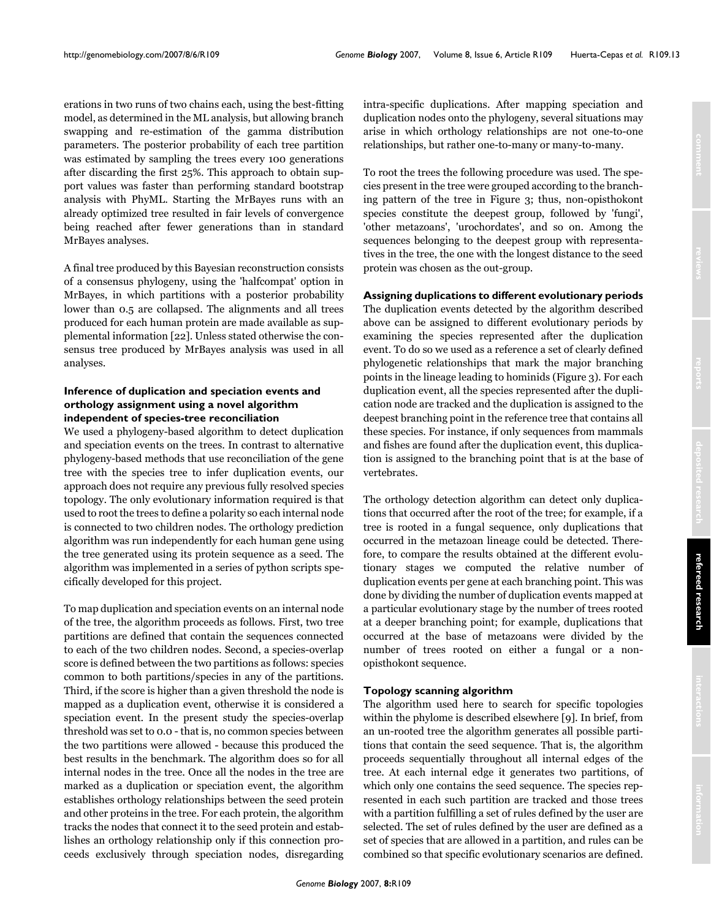erations in two runs of two chains each, using the best-fitting model, as determined in the ML analysis, but allowing branch swapping and re-estimation of the gamma distribution parameters. The posterior probability of each tree partition was estimated by sampling the trees every 100 generations after discarding the first 25%. This approach to obtain support values was faster than performing standard bootstrap analysis with PhyML. Starting the MrBayes runs with an already optimized tree resulted in fair levels of convergence being reached after fewer generations than in standard MrBayes analyses.

A final tree produced by this Bayesian reconstruction consists of a consensus phylogeny, using the 'halfcompat' option in MrBayes, in which partitions with a posterior probability lower than 0.5 are collapsed. The alignments and all trees produced for each human protein are made available as supplemental information [22]. Unless stated otherwise the consensus tree produced by MrBayes analysis was used in all analyses.

# **Inference of duplication and speciation events and orthology assignment using a novel algorithm independent of species-tree reconciliation**

We used a phylogeny-based algorithm to detect duplication and speciation events on the trees. In contrast to alternative phylogeny-based methods that use reconciliation of the gene tree with the species tree to infer duplication events, our approach does not require any previous fully resolved species topology. The only evolutionary information required is that used to root the trees to define a polarity so each internal node is connected to two children nodes. The orthology prediction algorithm was run independently for each human gene using the tree generated using its protein sequence as a seed. The algorithm was implemented in a series of python scripts specifically developed for this project.

To map duplication and speciation events on an internal node of the tree, the algorithm proceeds as follows. First, two tree partitions are defined that contain the sequences connected to each of the two children nodes. Second, a species-overlap score is defined between the two partitions as follows: species common to both partitions/species in any of the partitions. Third, if the score is higher than a given threshold the node is mapped as a duplication event, otherwise it is considered a speciation event. In the present study the species-overlap threshold was set to 0.0 - that is, no common species between the two partitions were allowed - because this produced the best results in the benchmark. The algorithm does so for all internal nodes in the tree. Once all the nodes in the tree are marked as a duplication or speciation event, the algorithm establishes orthology relationships between the seed protein and other proteins in the tree. For each protein, the algorithm tracks the nodes that connect it to the seed protein and establishes an orthology relationship only if this connection proceeds exclusively through speciation nodes, disregarding

intra-specific duplications. After mapping speciation and duplication nodes onto the phylogeny, several situations may arise in which orthology relationships are not one-to-one relationships, but rather one-to-many or many-to-many.

To root the trees the following procedure was used. The species present in the tree were grouped according to the branching pattern of the tree in Figure [3;](#page-8-0) thus, non-opisthokont species constitute the deepest group, followed by 'fungi', 'other metazoans', 'urochordates', and so on. Among the sequences belonging to the deepest group with representatives in the tree, the one with the longest distance to the seed protein was chosen as the out-group.

## **Assigning duplications to different evolutionary periods**

The duplication events detected by the algorithm described above can be assigned to different evolutionary periods by examining the species represented after the duplication event. To do so we used as a reference a set of clearly defined phylogenetic relationships that mark the major branching points in the lineage leading to hominids (Figure [3](#page-8-0)). For each duplication event, all the species represented after the duplication node are tracked and the duplication is assigned to the deepest branching point in the reference tree that contains all these species. For instance, if only sequences from mammals and fishes are found after the duplication event, this duplication is assigned to the branching point that is at the base of vertebrates.

The orthology detection algorithm can detect only duplications that occurred after the root of the tree; for example, if a tree is rooted in a fungal sequence, only duplications that occurred in the metazoan lineage could be detected. Therefore, to compare the results obtained at the different evolutionary stages we computed the relative number of duplication events per gene at each branching point. This was done by dividing the number of duplication events mapped at a particular evolutionary stage by the number of trees rooted at a deeper branching point; for example, duplications that occurred at the base of metazoans were divided by the number of trees rooted on either a fungal or a nonopisthokont sequence.

# **Topology scanning algorithm**

The algorithm used here to search for specific topologies within the phylome is described elsewhere [9]. In brief, from an un-rooted tree the algorithm generates all possible partitions that contain the seed sequence. That is, the algorithm proceeds sequentially throughout all internal edges of the tree. At each internal edge it generates two partitions, of which only one contains the seed sequence. The species represented in each such partition are tracked and those trees with a partition fulfilling a set of rules defined by the user are selected. The set of rules defined by the user are defined as a set of species that are allowed in a partition, and rules can be combined so that specific evolutionary scenarios are defined.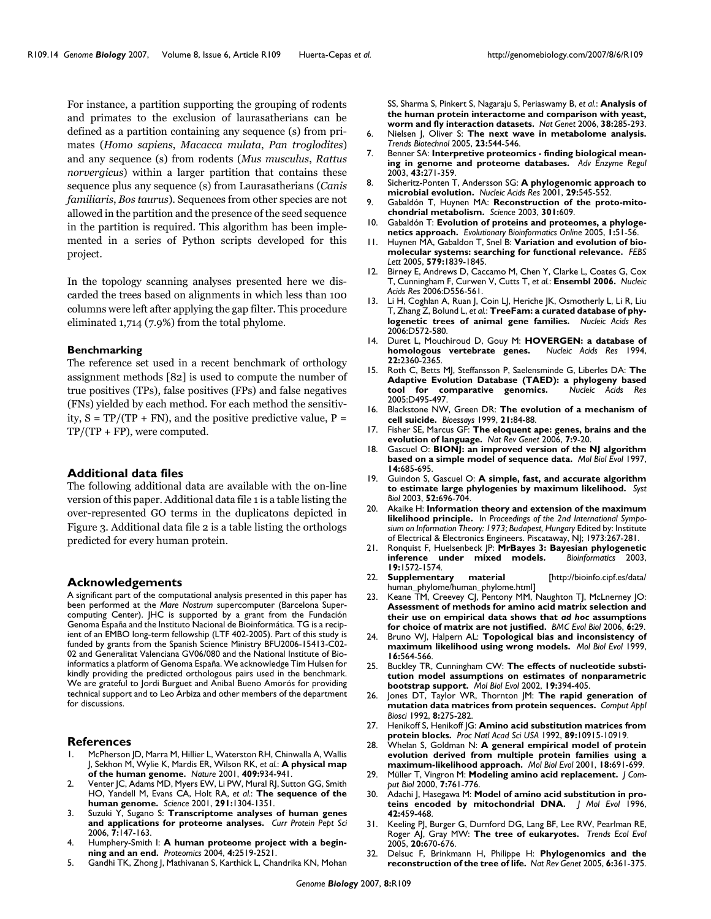For instance, a partition supporting the grouping of rodents and primates to the exclusion of laurasatherians can be defined as a partition containing any sequence (s) from primates (*Homo sapiens*, *Macacca mulata*, *Pan troglodites*) and any sequence (s) from rodents (*Mus musculus*, *Rattus norvergicus*) within a larger partition that contains these sequence plus any sequence (s) from Laurasatherians (*Canis familiaris*, *Bos taurus*). Sequences from other species are not allowed in the partition and the presence of the seed sequence in the partition is required. This algorithm has been implemented in a series of Python scripts developed for this project.

In the topology scanning analyses presented here we discarded the trees based on alignments in which less than 100 columns were left after applying the gap filter. This procedure eliminated 1,714 (7.9%) from the total phylome.

#### **Benchmarking**

The reference set used in a recent benchmark of orthology assignment methods [82] is used to compute the number of true positives (TPs), false positives (FPs) and false negatives (FNs) yielded by each method. For each method the sensitivity,  $S = TP/(TP + FN)$ , and the positive predictive value,  $P =$ TP/(TP + FP), were computed.

#### **Additional data files**

The following additional data are available with the on-line version of this paper. Additional data file 1 is a table listing the over-represented GO terms in the duplicatons depicted in Figure [3](#page-8-0). Additional data file 2 is a table listing the orthologs predicted for every human protein.

#### **Acknowledgements**

A significant part of the computational analysis presented in this paper has been performed at the *Mare Nostrum* supercomputer (Barcelona Supercomputing Center). JHC is supported by a grant from the Fundación Genoma España and the Instituto Nacional de Bioinformática. TG is a recipient of an EMBO long-term fellowship (LTF 402-2005). Part of this study is funded by grants from the Spanish Science Ministry BFU2006-15413-C02- 02 and Generalitat Valenciana GV06/080 and the National Institute of Bioinformatics a platform of Genoma España. We acknowledge Tim Hulsen for kindly providing the predicted orthologous pairs used in the benchmark. We are grateful to Jordi Burguet and Anibal Bueno Amorós for providing technical support and to Leo Arbiza and other members of the department for discussions.

### **References**

- 1. McPherson JD, Marra M, Hillier L, Waterston RH, Chinwalla A, Wallis J, Sekhon M, Wylie K, Mardis ER, Wilson RK, *et al.*: **[A physical map](http://www.ncbi.nlm.nih.gov/entrez/query.fcgi?cmd=Retrieve&db=PubMed&dopt=Abstract&list_uids=11237014) [of the human genome.](http://www.ncbi.nlm.nih.gov/entrez/query.fcgi?cmd=Retrieve&db=PubMed&dopt=Abstract&list_uids=11237014)** *Nature* 2001, **409:**934-941.
- 2. Venter JC, Adams MD, Myers EW, Li PW, Mural RJ, Sutton GG, Smith HO, Yandell M, Evans CA, Holt RA, *et al.*: **[The sequence of the](http://www.ncbi.nlm.nih.gov/entrez/query.fcgi?cmd=Retrieve&db=PubMed&dopt=Abstract&list_uids=11181995) [human genome.](http://www.ncbi.nlm.nih.gov/entrez/query.fcgi?cmd=Retrieve&db=PubMed&dopt=Abstract&list_uids=11181995)** *Science* 2001, **291:**1304-1351.
- 3. Suzuki Y, Sugano S: **[Transcriptome analyses of human genes](http://www.ncbi.nlm.nih.gov/entrez/query.fcgi?cmd=Retrieve&db=PubMed&dopt=Abstract&list_uids=16611140) [and applications for proteome analyses.](http://www.ncbi.nlm.nih.gov/entrez/query.fcgi?cmd=Retrieve&db=PubMed&dopt=Abstract&list_uids=16611140)** *Curr Protein Pept Sci* 2006, **7:**147-163.
- 4. Humphery-Smith I: **[A human proteome project with a begin](http://www.ncbi.nlm.nih.gov/entrez/query.fcgi?cmd=Retrieve&db=PubMed&dopt=Abstract&list_uids=15352225)[ning and an end.](http://www.ncbi.nlm.nih.gov/entrez/query.fcgi?cmd=Retrieve&db=PubMed&dopt=Abstract&list_uids=15352225)** *Proteomics* 2004, **4:**2519-2521.
- 5. Gandhi TK, Zhong J, Mathivanan S, Karthick L, Chandrika KN, Mohan

SS, Sharma S, Pinkert S, Nagaraju S, Periaswamy B, *et al.*: **[Analysis of](http://www.ncbi.nlm.nih.gov/entrez/query.fcgi?cmd=Retrieve&db=PubMed&dopt=Abstract&list_uids=16501559) [the human protein interactome and comparison with yeast,](http://www.ncbi.nlm.nih.gov/entrez/query.fcgi?cmd=Retrieve&db=PubMed&dopt=Abstract&list_uids=16501559) [worm and fly interaction datasets.](http://www.ncbi.nlm.nih.gov/entrez/query.fcgi?cmd=Retrieve&db=PubMed&dopt=Abstract&list_uids=16501559)** *Nat Genet* 2006, **38:**285-293.

- 6. Nielsen J, Oliver S: **[The next wave in metabolome analysis.](http://www.ncbi.nlm.nih.gov/entrez/query.fcgi?cmd=Retrieve&db=PubMed&dopt=Abstract&list_uids=16154652)** *Trends Biotechnol* 2005, **23:**544-546.
- 7. Benner SA: **[Interpretive proteomics finding biological mean](http://www.ncbi.nlm.nih.gov/entrez/query.fcgi?cmd=Retrieve&db=PubMed&dopt=Abstract&list_uids=12791396)[ing in genome and proteome databases.](http://www.ncbi.nlm.nih.gov/entrez/query.fcgi?cmd=Retrieve&db=PubMed&dopt=Abstract&list_uids=12791396)** *Adv Enzyme Regul* 2003, **43:**271-359.
- 8. Sicheritz-Ponten T, Andersson SG: **[A phylogenomic approach to](http://www.ncbi.nlm.nih.gov/entrez/query.fcgi?cmd=Retrieve&db=PubMed&dopt=Abstract&list_uids=11139625) [microbial evolution.](http://www.ncbi.nlm.nih.gov/entrez/query.fcgi?cmd=Retrieve&db=PubMed&dopt=Abstract&list_uids=11139625)** *Nucleic Acids Res* 2001, **29:**545-552.
- 9. Gabaldón T, Huynen MA: **[Reconstruction of the proto-mito](http://www.ncbi.nlm.nih.gov/entrez/query.fcgi?cmd=Retrieve&db=PubMed&dopt=Abstract&list_uids=12893934)[chondrial metabolism.](http://www.ncbi.nlm.nih.gov/entrez/query.fcgi?cmd=Retrieve&db=PubMed&dopt=Abstract&list_uids=12893934)** *Science* 2003, **301:**609.
- 10. Gabaldón T: **Evolution of proteins and proteomes, a phylogenetics approach.** *Evolutionary Bioinformatics Online* 2005, **1:**51-56.
- 11. Huynen MA, Gabaldon T, Snel B: **[Variation and evolution of bio](http://www.ncbi.nlm.nih.gov/entrez/query.fcgi?cmd=Retrieve&db=PubMed&dopt=Abstract&list_uids=15763561)[molecular systems: searching for functional relevance.](http://www.ncbi.nlm.nih.gov/entrez/query.fcgi?cmd=Retrieve&db=PubMed&dopt=Abstract&list_uids=15763561)** *FEBS Lett* 2005, **579:**1839-1845.
- 12. Birney E, Andrews D, Caccamo M, Chen Y, Clarke L, Coates G, Cox T, Cunningham F, Curwen V, Cutts T, *et al.*: **[Ensembl 2006.](http://www.ncbi.nlm.nih.gov/entrez/query.fcgi?cmd=Retrieve&db=PubMed&dopt=Abstract&list_uids=16381931)** *Nucleic Acids Res* 2006:D556-561.
- 13. Li H, Coghlan A, Ruan J, Coin LJ, Heriche JK, Osmotherly L, Li R, Liu T, Zhang Z, Bolund L, *et al.*: **[TreeFam: a curated database of phy](http://www.ncbi.nlm.nih.gov/entrez/query.fcgi?cmd=Retrieve&db=PubMed&dopt=Abstract&list_uids=16381935)[logenetic trees of animal gene families.](http://www.ncbi.nlm.nih.gov/entrez/query.fcgi?cmd=Retrieve&db=PubMed&dopt=Abstract&list_uids=16381935)** *Nucleic Acids Res* 2006:D572-580.
- 14. Duret L, Mouchiroud D, Gouy M: **[HOVERGEN: a database of](http://www.ncbi.nlm.nih.gov/entrez/query.fcgi?cmd=Retrieve&db=PubMed&dopt=Abstract&list_uids=8036164) [homologous vertebrate genes.](http://www.ncbi.nlm.nih.gov/entrez/query.fcgi?cmd=Retrieve&db=PubMed&dopt=Abstract&list_uids=8036164)** *Nucleic Acids Res* 1994, **22:**2360-2365.
- 15. Roth C, Betts MJ, Steffansson P, Saelensminde G, Liberles DA: **[The](http://www.ncbi.nlm.nih.gov/entrez/query.fcgi?cmd=Retrieve&db=PubMed&dopt=Abstract&list_uids=15608245) [Adaptive Evolution Database \(TAED\): a phylogeny based](http://www.ncbi.nlm.nih.gov/entrez/query.fcgi?cmd=Retrieve&db=PubMed&dopt=Abstract&list_uids=15608245) [tool for comparative genomics.](http://www.ncbi.nlm.nih.gov/entrez/query.fcgi?cmd=Retrieve&db=PubMed&dopt=Abstract&list_uids=15608245)** *Nucleic Acids Res* 2005:D495-497.
- 16. Blackstone NW, Green DR: **[The evolution of a mechanism of](http://www.ncbi.nlm.nih.gov/entrez/query.fcgi?cmd=Retrieve&db=PubMed&dopt=Abstract&list_uids=10070258) [cell suicide.](http://www.ncbi.nlm.nih.gov/entrez/query.fcgi?cmd=Retrieve&db=PubMed&dopt=Abstract&list_uids=10070258)** *Bioessays* 1999, **21:**84-88.
- 17. Fisher SE, Marcus GF: **[The eloquent ape: genes, brains and the](http://www.ncbi.nlm.nih.gov/entrez/query.fcgi?cmd=Retrieve&db=PubMed&dopt=Abstract&list_uids=16369568) [evolution of language.](http://www.ncbi.nlm.nih.gov/entrez/query.fcgi?cmd=Retrieve&db=PubMed&dopt=Abstract&list_uids=16369568)** *Nat Rev Genet* 2006, **7:**9-20.
- 18. Gascuel O: **[BIONJ: an improved version of the NJ algorithm](http://www.ncbi.nlm.nih.gov/entrez/query.fcgi?cmd=Retrieve&db=PubMed&dopt=Abstract&list_uids=9254330) [based on a simple model of sequence data.](http://www.ncbi.nlm.nih.gov/entrez/query.fcgi?cmd=Retrieve&db=PubMed&dopt=Abstract&list_uids=9254330)** *Mol Biol Evol* 1997, **14:**685-695.
- 19. Guindon S, Gascuel O: **[A simple, fast, and accurate algorithm](http://www.ncbi.nlm.nih.gov/entrez/query.fcgi?cmd=Retrieve&db=PubMed&dopt=Abstract&list_uids=14530136) [to estimate large phylogenies by maximum likelihood.](http://www.ncbi.nlm.nih.gov/entrez/query.fcgi?cmd=Retrieve&db=PubMed&dopt=Abstract&list_uids=14530136)** *Syst Biol* 2003, **52:**696-704.
- 20. Akaike H: **Information theory and extension of the maximum likelihood principle.** In *Proceedings of the 2nd International Symposium on Information Theory: 1973; Budapest, Hungary* Edited by: Institute of Electrical & Electronics Engineers. Piscataway, NJ; 1973:267-281.
- Ronquist F, Huelsenbeck JP: **[MrBayes 3: Bayesian phylogenetic](http://www.ncbi.nlm.nih.gov/entrez/query.fcgi?cmd=Retrieve&db=PubMed&dopt=Abstract&list_uids=12912839) inference** under mixed models. *Bioinformatics* 2003, [inference under mixed models.](http://www.ncbi.nlm.nih.gov/entrez/query.fcgi?cmd=Retrieve&db=PubMed&dopt=Abstract&list_uids=12912839)
- **19:**1572-1574.<br>**22. Supplementary** material [\[http://bioinfo.cipf.es/data/](http://bioinfo.cipf.es/data/human_phylome/human_phylome.html) [human\\_phylome/human\\_phylome.html\]](http://bioinfo.cipf.es/data/human_phylome/human_phylome.html)
- 23. Keane TM, Creevey CJ, Pentony MM, Naughton TJ, McLnerney JO: **Assessment of methods for amino acid matrix selection and their use on empirical data shows that** *ad hoc* **[assumptions](http://www.ncbi.nlm.nih.gov/entrez/query.fcgi?cmd=Retrieve&db=PubMed&dopt=Abstract&list_uids=16563161) [for choice of matrix are not justified.](http://www.ncbi.nlm.nih.gov/entrez/query.fcgi?cmd=Retrieve&db=PubMed&dopt=Abstract&list_uids=16563161)** *BMC Evol Biol* 2006, **6:**29.
- 24. Bruno WJ, Halpern AL: **[Topological bias and inconsistency of](http://www.ncbi.nlm.nih.gov/entrez/query.fcgi?cmd=Retrieve&db=PubMed&dopt=Abstract&list_uids=10331281) [maximum likelihood using wrong models.](http://www.ncbi.nlm.nih.gov/entrez/query.fcgi?cmd=Retrieve&db=PubMed&dopt=Abstract&list_uids=10331281)** *Mol Biol Evol* 1999, **16:**564-566.
- 25. Buckley TR, Cunningham CW: **[The effects of nucleotide substi](http://www.ncbi.nlm.nih.gov/entrez/query.fcgi?cmd=Retrieve&db=PubMed&dopt=Abstract&list_uids=11919280)[tution model assumptions on estimates of nonparametric](http://www.ncbi.nlm.nih.gov/entrez/query.fcgi?cmd=Retrieve&db=PubMed&dopt=Abstract&list_uids=11919280) [bootstrap support.](http://www.ncbi.nlm.nih.gov/entrez/query.fcgi?cmd=Retrieve&db=PubMed&dopt=Abstract&list_uids=11919280)** *Mol Biol Evol* 2002, **19:**394-405.
- 26. Jones DT, Taylor WR, Thornton JM: **[The rapid generation of](http://www.ncbi.nlm.nih.gov/entrez/query.fcgi?cmd=Retrieve&db=PubMed&dopt=Abstract&list_uids=1633570) [mutation data matrices from protein sequences.](http://www.ncbi.nlm.nih.gov/entrez/query.fcgi?cmd=Retrieve&db=PubMed&dopt=Abstract&list_uids=1633570)** *Comput Appl Biosci* 1992, **8:**275-282.
- 27. Henikoff S, Henikoff JG: **[Amino acid substitution matrices from](http://www.ncbi.nlm.nih.gov/entrez/query.fcgi?cmd=Retrieve&db=PubMed&dopt=Abstract&list_uids=1438297) [protein blocks.](http://www.ncbi.nlm.nih.gov/entrez/query.fcgi?cmd=Retrieve&db=PubMed&dopt=Abstract&list_uids=1438297)** *Proc Natl Acad Sci USA* 1992, **89:**10915-10919.
- 28. Whelan S, Goldman N: **[A general empirical model of protein](http://www.ncbi.nlm.nih.gov/entrez/query.fcgi?cmd=Retrieve&db=PubMed&dopt=Abstract&list_uids=11319253) [evolution derived from multiple protein families using a](http://www.ncbi.nlm.nih.gov/entrez/query.fcgi?cmd=Retrieve&db=PubMed&dopt=Abstract&list_uids=11319253) [maximum-likelihood approach.](http://www.ncbi.nlm.nih.gov/entrez/query.fcgi?cmd=Retrieve&db=PubMed&dopt=Abstract&list_uids=11319253)** *Mol Biol Evol* 2001, **18:**691-699.
- 29. Müller T, Vingron M: **[Modeling amino acid replacement.](http://www.ncbi.nlm.nih.gov/entrez/query.fcgi?cmd=Retrieve&db=PubMed&dopt=Abstract&list_uids=11382360)** *J Comput Biol* 2000, **7:**761-776.
- 30. Adachi J, Hasegawa M: **[Model of amino acid substitution in pro](http://www.ncbi.nlm.nih.gov/entrez/query.fcgi?cmd=Retrieve&db=PubMed&dopt=Abstract&list_uids=8642615)[teins encoded by mitochondrial DNA.](http://www.ncbi.nlm.nih.gov/entrez/query.fcgi?cmd=Retrieve&db=PubMed&dopt=Abstract&list_uids=8642615)** *J Mol Evol* 1996, **42:**459-468.
- 31. Keeling PJ, Burger G, Durnford DG, Lang BF, Lee RW, Pearlman RE, Roger AJ, Gray MW: **[The tree of eukaryotes.](http://www.ncbi.nlm.nih.gov/entrez/query.fcgi?cmd=Retrieve&db=PubMed&dopt=Abstract&list_uids=16701456)** *Trends Ecol Evol* 2005, **20:**670-676.
- 32. Delsuc F, Brinkmann H, Philippe H: **[Phylogenomics and the](http://www.ncbi.nlm.nih.gov/entrez/query.fcgi?cmd=Retrieve&db=PubMed&dopt=Abstract&list_uids=15861208) [reconstruction of the tree of life.](http://www.ncbi.nlm.nih.gov/entrez/query.fcgi?cmd=Retrieve&db=PubMed&dopt=Abstract&list_uids=15861208)** *Nat Rev Genet* 2005, **6:**361-375.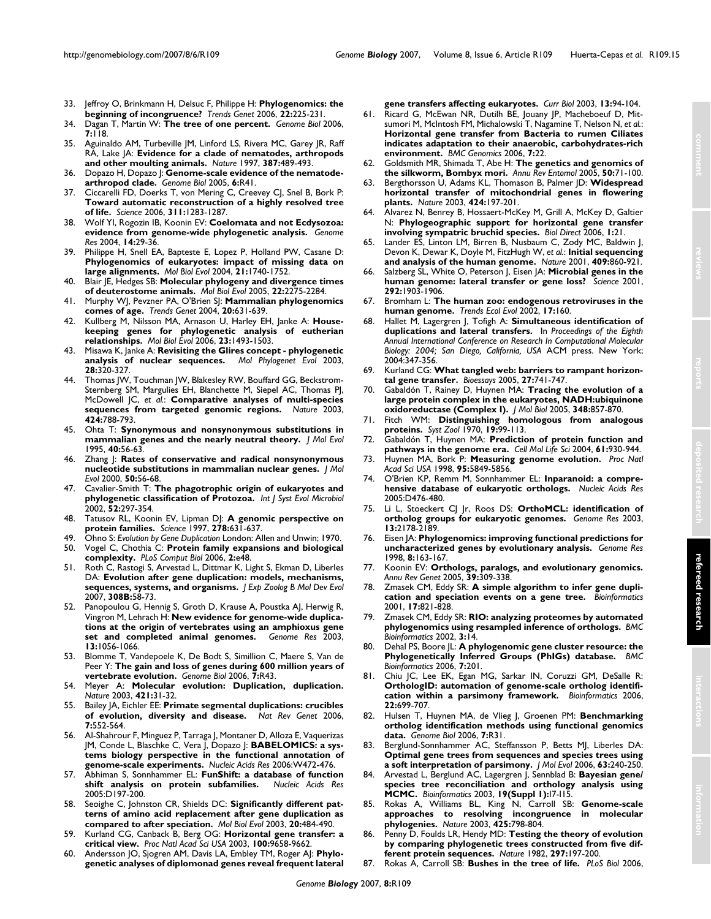33. Jeffroy O, Brinkmann H, Delsuc F, Philippe H: **[Phylogenomics: the](http://www.ncbi.nlm.nih.gov/entrez/query.fcgi?cmd=Retrieve&db=PubMed&dopt=Abstract&list_uids=16490279) [beginning of incongruence?](http://www.ncbi.nlm.nih.gov/entrez/query.fcgi?cmd=Retrieve&db=PubMed&dopt=Abstract&list_uids=16490279)** *Trends Genet* 2006, **22:**225-231.

34. Dagan T, Martin W: **[The tree of one percent.](http://www.ncbi.nlm.nih.gov/entrez/query.fcgi?cmd=Retrieve&db=PubMed&dopt=Abstract&list_uids=17081279)** *Genome Biol* 2006, **7:**118.

- 35. Aguinaldo AM, Turbeville JM, Linford LS, Rivera MC, Garey JR, Raff RA, Lake JA: **[Evidence for a clade of nematodes, arthropods](http://www.ncbi.nlm.nih.gov/entrez/query.fcgi?cmd=Retrieve&db=PubMed&dopt=Abstract&list_uids=9168109) [and other moulting animals.](http://www.ncbi.nlm.nih.gov/entrez/query.fcgi?cmd=Retrieve&db=PubMed&dopt=Abstract&list_uids=9168109)** *Nature* 1997, **387:**489-493.
- 36. Dopazo H, Dopazo J: **[Genome-scale evidence of the nematode](http://www.ncbi.nlm.nih.gov/entrez/query.fcgi?cmd=Retrieve&db=PubMed&dopt=Abstract&list_uids=15892869)[arthropod clade.](http://www.ncbi.nlm.nih.gov/entrez/query.fcgi?cmd=Retrieve&db=PubMed&dopt=Abstract&list_uids=15892869)** *Genome Biol* 2005, **6:**R41.
- 37. Ciccarelli FD, Doerks T, von Mering C, Creevey CJ, Snel B, Bork P: **[Toward automatic reconstruction of a highly resolved tree](http://www.ncbi.nlm.nih.gov/entrez/query.fcgi?cmd=Retrieve&db=PubMed&dopt=Abstract&list_uids=16513982) [of life.](http://www.ncbi.nlm.nih.gov/entrez/query.fcgi?cmd=Retrieve&db=PubMed&dopt=Abstract&list_uids=16513982)** *Science* 2006, **311:**1283-1287.
- 38. Wolf YI, Rogozin IB, Koonin EV: **[Coelomata and not Ecdysozoa:](http://www.ncbi.nlm.nih.gov/entrez/query.fcgi?cmd=Retrieve&db=PubMed&dopt=Abstract&list_uids=14707168) [evidence from genome-wide phylogenetic analysis.](http://www.ncbi.nlm.nih.gov/entrez/query.fcgi?cmd=Retrieve&db=PubMed&dopt=Abstract&list_uids=14707168)** *Genome Res* 2004, **14:**29-36.
- 39. Philippe H, Snell EA, Bapteste E, Lopez P, Holland PW, Casane D: **[Phylogenomics of eukaryotes: impact of missing data on](http://www.ncbi.nlm.nih.gov/entrez/query.fcgi?cmd=Retrieve&db=PubMed&dopt=Abstract&list_uids=15175415) [large alignments.](http://www.ncbi.nlm.nih.gov/entrez/query.fcgi?cmd=Retrieve&db=PubMed&dopt=Abstract&list_uids=15175415)** *Mol Biol Evol* 2004, **21:**1740-1752.
- 40. Blair JE, Hedges SB: **[Molecular phylogeny and divergence times](http://www.ncbi.nlm.nih.gov/entrez/query.fcgi?cmd=Retrieve&db=PubMed&dopt=Abstract&list_uids=16049193) [of deuterostome animals.](http://www.ncbi.nlm.nih.gov/entrez/query.fcgi?cmd=Retrieve&db=PubMed&dopt=Abstract&list_uids=16049193)** *Mol Biol Evol* 2005, **22:**2275-2284.
- 41. Murphy WJ, Pevzner PA, O'Brien SJ: **[Mammalian phylogenomics](http://www.ncbi.nlm.nih.gov/entrez/query.fcgi?cmd=Retrieve&db=PubMed&dopt=Abstract&list_uids=15522459) [comes of age.](http://www.ncbi.nlm.nih.gov/entrez/query.fcgi?cmd=Retrieve&db=PubMed&dopt=Abstract&list_uids=15522459)** *Trends Genet* 2004, **20:**631-639.
- 42. Kullberg M, Nilsson MA, Arnason U, Harley EH, Janke A: **[House](http://www.ncbi.nlm.nih.gov/entrez/query.fcgi?cmd=Retrieve&db=PubMed&dopt=Abstract&list_uids=16751257)[keeping genes for phylogenetic analysis of eutherian](http://www.ncbi.nlm.nih.gov/entrez/query.fcgi?cmd=Retrieve&db=PubMed&dopt=Abstract&list_uids=16751257) [relationships.](http://www.ncbi.nlm.nih.gov/entrez/query.fcgi?cmd=Retrieve&db=PubMed&dopt=Abstract&list_uids=16751257)** *Mol Biol Evol* 2006, **23:**1493-1503.
- 43. Misawa K, Janke A: **[Revisiting the Glires concept phylogenetic](http://www.ncbi.nlm.nih.gov/entrez/query.fcgi?cmd=Retrieve&db=PubMed&dopt=Abstract&list_uids=12878468) [analysis of nuclear sequences.](http://www.ncbi.nlm.nih.gov/entrez/query.fcgi?cmd=Retrieve&db=PubMed&dopt=Abstract&list_uids=12878468)** *Mol Phylogenet Evol* 2003, **28:**320-327.
- 44. Thomas JW, Touchman JW, Blakesley RW, Bouffard GG, Beckstrom-Sternberg SM, Margulies EH, Blanchette M, Siepel AC, Thomas PJ, McDowell JC, *et al.*: **[Comparative analyses of multi-species](http://www.ncbi.nlm.nih.gov/entrez/query.fcgi?cmd=Retrieve&db=PubMed&dopt=Abstract&list_uids=12917688) [sequences from targeted genomic regions.](http://www.ncbi.nlm.nih.gov/entrez/query.fcgi?cmd=Retrieve&db=PubMed&dopt=Abstract&list_uids=12917688)** *Nature* 2003, **424:**788-793.
- 45. Ohta T: **[Synonymous and nonsynonymous substitutions in](http://www.ncbi.nlm.nih.gov/entrez/query.fcgi?cmd=Retrieve&db=PubMed&dopt=Abstract&list_uids=7714912) [mammalian genes and the nearly neutral theory.](http://www.ncbi.nlm.nih.gov/entrez/query.fcgi?cmd=Retrieve&db=PubMed&dopt=Abstract&list_uids=7714912)** *J Mol Evol* 1995, **40:**56-63.
- 46. Zhang J: **[Rates of conservative and radical nonsynonymous](http://www.ncbi.nlm.nih.gov/entrez/query.fcgi?cmd=Retrieve&db=PubMed&dopt=Abstract&list_uids=10654260) [nucleotide substitutions in mammalian nuclear genes.](http://www.ncbi.nlm.nih.gov/entrez/query.fcgi?cmd=Retrieve&db=PubMed&dopt=Abstract&list_uids=10654260)** *J Mol Evol* 2000, **50:**56-68.
- 47. Cavalier-Smith T: **[The phagotrophic origin of eukaryotes and](http://www.ncbi.nlm.nih.gov/entrez/query.fcgi?cmd=Retrieve&db=PubMed&dopt=Abstract&list_uids=11931142) [phylogenetic classification of Protozoa.](http://www.ncbi.nlm.nih.gov/entrez/query.fcgi?cmd=Retrieve&db=PubMed&dopt=Abstract&list_uids=11931142)** *Int J Syst Evol Microbiol* 2002, **52:**297-354.
- 48. Tatusov RL, Koonin EV, Lipman DJ: **[A genomic perspective on](http://www.ncbi.nlm.nih.gov/entrez/query.fcgi?cmd=Retrieve&db=PubMed&dopt=Abstract&list_uids=9381173) [protein families.](http://www.ncbi.nlm.nih.gov/entrez/query.fcgi?cmd=Retrieve&db=PubMed&dopt=Abstract&list_uids=9381173)** *Science* 1997, **278:**631-637.
- 49. Ohno S: *Evolution by Gene Duplication* London: Allen and Unwin; 1970.
- 50. Vogel C, Chothia C: **[Protein family expansions and biological](http://www.ncbi.nlm.nih.gov/entrez/query.fcgi?cmd=Retrieve&db=PubMed&dopt=Abstract&list_uids=16733546) [complexity.](http://www.ncbi.nlm.nih.gov/entrez/query.fcgi?cmd=Retrieve&db=PubMed&dopt=Abstract&list_uids=16733546)** *PLoS Comput Biol* 2006, **2:**e48.
- Roth C, Rastogi S, Arvestad L, Dittmar K, Light S, Ekman D, Liberles DA: **Evolution after gene duplication: models, mechanisms, sequences, systems, and organisms.** *J Exp Zoolog B Mol Dev Evol* 2007, **308B:**58-73.
- 52. Panopoulou G, Hennig S, Groth D, Krause A, Poustka AJ, Herwig R, Vingron M, Lehrach H: **[New evidence for genome-wide duplica](http://www.ncbi.nlm.nih.gov/entrez/query.fcgi?cmd=Retrieve&db=PubMed&dopt=Abstract&list_uids=12799346)[tions at the origin of vertebrates using an amphioxus gene](http://www.ncbi.nlm.nih.gov/entrez/query.fcgi?cmd=Retrieve&db=PubMed&dopt=Abstract&list_uids=12799346) [set and completed animal genomes.](http://www.ncbi.nlm.nih.gov/entrez/query.fcgi?cmd=Retrieve&db=PubMed&dopt=Abstract&list_uids=12799346)** *Genome Res* 2003, **13:**1056-1066.
- 53. Blomme T, Vandepoele K, De Bodt S, Simillion C, Maere S, Van de Peer Y: **[The gain and loss of genes during 600 million years of](http://www.ncbi.nlm.nih.gov/entrez/query.fcgi?cmd=Retrieve&db=PubMed&dopt=Abstract&list_uids=16723033) [vertebrate evolution.](http://www.ncbi.nlm.nih.gov/entrez/query.fcgi?cmd=Retrieve&db=PubMed&dopt=Abstract&list_uids=16723033)** *Genome Biol* 2006, **7:**R43.
- 54. Meyer A: **[Molecular evolution: Duplication, duplication.](http://www.ncbi.nlm.nih.gov/entrez/query.fcgi?cmd=Retrieve&db=PubMed&dopt=Abstract&list_uids=12511940)** *Nature* 2003, **421:**31-32.
- 55. Bailey JA, Eichler EE: **[Primate segmental duplications: crucibles](http://www.ncbi.nlm.nih.gov/entrez/query.fcgi?cmd=Retrieve&db=PubMed&dopt=Abstract&list_uids=16770338) [of evolution, diversity and disease.](http://www.ncbi.nlm.nih.gov/entrez/query.fcgi?cmd=Retrieve&db=PubMed&dopt=Abstract&list_uids=16770338)** *Nat Rev Genet* 2006, **7:**552-564.
- 56. Al-Shahrour F, Minguez P, Tarraga J, Montaner D, Alloza E, Vaquerizas JM, Conde L, Blaschke C, Vera J, Dopazo J: **[BABELOMICS: a sys](http://www.ncbi.nlm.nih.gov/entrez/query.fcgi?cmd=Retrieve&db=PubMed&dopt=Abstract&list_uids=16845052)[tems biology perspective in the functional annotation of](http://www.ncbi.nlm.nih.gov/entrez/query.fcgi?cmd=Retrieve&db=PubMed&dopt=Abstract&list_uids=16845052) [genome-scale experiments.](http://www.ncbi.nlm.nih.gov/entrez/query.fcgi?cmd=Retrieve&db=PubMed&dopt=Abstract&list_uids=16845052)** *Nucleic Acids Res* 2006:W472-476.
- 57. Abhiman S, Sonnhammer EL: **[FunShift: a database of function](http://www.ncbi.nlm.nih.gov/entrez/query.fcgi?cmd=Retrieve&db=PubMed&dopt=Abstract&list_uids=15608176)** [shift analysis on protein subfamilies.](http://www.ncbi.nlm.nih.gov/entrez/query.fcgi?cmd=Retrieve&db=PubMed&dopt=Abstract&list_uids=15608176) 2005:D197-200.
- 58. Seoighe C, Johnston CR, Shields DC: **[Significantly different pat](http://www.ncbi.nlm.nih.gov/entrez/query.fcgi?cmd=Retrieve&db=PubMed&dopt=Abstract&list_uids=12654935)[terns of amino acid replacement after gene duplication as](http://www.ncbi.nlm.nih.gov/entrez/query.fcgi?cmd=Retrieve&db=PubMed&dopt=Abstract&list_uids=12654935) [compared to after speciation.](http://www.ncbi.nlm.nih.gov/entrez/query.fcgi?cmd=Retrieve&db=PubMed&dopt=Abstract&list_uids=12654935)** *Mol Biol Evol* 2003, **20:**484-490.
- 59. Kurland CG, Canback B, Berg OG: **[Horizontal gene transfer: a](http://www.ncbi.nlm.nih.gov/entrez/query.fcgi?cmd=Retrieve&db=PubMed&dopt=Abstract&list_uids=12902542) [critical view.](http://www.ncbi.nlm.nih.gov/entrez/query.fcgi?cmd=Retrieve&db=PubMed&dopt=Abstract&list_uids=12902542)** *Proc Natl Acad Sci USA* 2003, **100:**9658-9662.
- 60. Andersson JO, Sjogren AM, Davis LA, Embley TM, Roger AJ: **[Phylo](http://www.ncbi.nlm.nih.gov/entrez/query.fcgi?cmd=Retrieve&db=PubMed&dopt=Abstract&list_uids=12546782)[genetic analyses of diplomonad genes reveal frequent lateral](http://www.ncbi.nlm.nih.gov/entrez/query.fcgi?cmd=Retrieve&db=PubMed&dopt=Abstract&list_uids=12546782)**
- **[gene transfers affecting eukaryotes.](http://www.ncbi.nlm.nih.gov/entrez/query.fcgi?cmd=Retrieve&db=PubMed&dopt=Abstract&list_uids=12546782)** *Curr Biol* 2003, **13:**94-104. 61. Ricard G, McEwan NR, Dutilh BE, Jouany JP, Macheboeuf D, Mitsumori M, McIntosh FM, Michalowski T, Nagamine T, Nelson N, *et al.*: **[Horizontal gene transfer from Bacteria to rumen Ciliates](http://www.ncbi.nlm.nih.gov/entrez/query.fcgi?cmd=Retrieve&db=PubMed&dopt=Abstract&list_uids=16472398) indicates adaptation to their anaerobic, carbohydrates-rich**
- **[environment.](http://www.ncbi.nlm.nih.gov/entrez/query.fcgi?cmd=Retrieve&db=PubMed&dopt=Abstract&list_uids=16472398)** *BMC Genomics* 2006, **7:**22. 62. Goldsmith MR, Shimada T, Abe H: **[The genetics and genomics of](http://www.ncbi.nlm.nih.gov/entrez/query.fcgi?cmd=Retrieve&db=PubMed&dopt=Abstract&list_uids=15355234) [the silkworm, Bombyx mori.](http://www.ncbi.nlm.nih.gov/entrez/query.fcgi?cmd=Retrieve&db=PubMed&dopt=Abstract&list_uids=15355234)** *Annu Rev Entomol* 2005, **50:**71-100.
- 63. Bergthorsson U, Adams KL, Thomason B, Palmer JD: **[Widespread](http://www.ncbi.nlm.nih.gov/entrez/query.fcgi?cmd=Retrieve&db=PubMed&dopt=Abstract&list_uids=12853958) [horizontal transfer of mitochondrial genes in flowering](http://www.ncbi.nlm.nih.gov/entrez/query.fcgi?cmd=Retrieve&db=PubMed&dopt=Abstract&list_uids=12853958) [plants.](http://www.ncbi.nlm.nih.gov/entrez/query.fcgi?cmd=Retrieve&db=PubMed&dopt=Abstract&list_uids=12853958)** *Nature* 2003, **424:**197-201.
- Alvarez N, Benrey B, Hossaert-McKey M, Grill A, McKey D, Galtier N: **[Phylogeographic support for horizontal gene transfer](http://www.ncbi.nlm.nih.gov/entrez/query.fcgi?cmd=Retrieve&db=PubMed&dopt=Abstract&list_uids=16872524) [involving sympatric bruchid species.](http://www.ncbi.nlm.nih.gov/entrez/query.fcgi?cmd=Retrieve&db=PubMed&dopt=Abstract&list_uids=16872524)** *Biol Direct* 2006, **1:**21.
- 65. Lander ES, Linton LM, Birren B, Nusbaum C, Zody MC, Baldwin J, Devon K, Dewar K, Doyle M, FitzHugh W, *et al.*: **[Initial sequencing](http://www.ncbi.nlm.nih.gov/entrez/query.fcgi?cmd=Retrieve&db=PubMed&dopt=Abstract&list_uids=11237011) [and analysis of the human genome.](http://www.ncbi.nlm.nih.gov/entrez/query.fcgi?cmd=Retrieve&db=PubMed&dopt=Abstract&list_uids=11237011)** *Nature* 2001, **409:**860-921.
- 66. Salzberg SL, White O, Peterson J, Eisen JA: **[Microbial genes in the](http://www.ncbi.nlm.nih.gov/entrez/query.fcgi?cmd=Retrieve&db=PubMed&dopt=Abstract&list_uids=11358996) [human genome: lateral transfer or gene loss?](http://www.ncbi.nlm.nih.gov/entrez/query.fcgi?cmd=Retrieve&db=PubMed&dopt=Abstract&list_uids=11358996)** *Science* 2001, **292:**1903-1906.
- 67. Bromham L: **The human zoo: endogenous retroviruses in the human genome.** *Trends Ecol Evol* 2002, **17:**160.
- 68. Hallet M, Lagergren J, Tofigh A: **Simultaneous identification of duplications and lateral transfers.** In *Proceedings of the Eighth Annual International Conference on Research In Computational Molecular Biology: 2004; San Diego, California, USA* ACM press. New York; 2004:347-356.
- 69. Kurland CG: **[What tangled web: barriers to rampant horizon](http://www.ncbi.nlm.nih.gov/entrez/query.fcgi?cmd=Retrieve&db=PubMed&dopt=Abstract&list_uids=15954096)[tal gene transfer.](http://www.ncbi.nlm.nih.gov/entrez/query.fcgi?cmd=Retrieve&db=PubMed&dopt=Abstract&list_uids=15954096)** *Bioessays* 2005, **27:**741-747.
- 70. Gabaldón T, Rainey D, Huynen MA: **[Tracing the evolution of a](http://www.ncbi.nlm.nih.gov/entrez/query.fcgi?cmd=Retrieve&db=PubMed&dopt=Abstract&list_uids=15843018) [large protein complex in the eukaryotes, NADH:ubiquinone](http://www.ncbi.nlm.nih.gov/entrez/query.fcgi?cmd=Retrieve&db=PubMed&dopt=Abstract&list_uids=15843018) [oxidoreductase \(Complex I\).](http://www.ncbi.nlm.nih.gov/entrez/query.fcgi?cmd=Retrieve&db=PubMed&dopt=Abstract&list_uids=15843018)** *J Mol Biol* 2005, **348:**857-870.
- 71. Fitch WM: **[Distinguishing homologous from analogous](http://www.ncbi.nlm.nih.gov/entrez/query.fcgi?cmd=Retrieve&db=PubMed&dopt=Abstract&list_uids=5449325) [proteins.](http://www.ncbi.nlm.nih.gov/entrez/query.fcgi?cmd=Retrieve&db=PubMed&dopt=Abstract&list_uids=5449325)** *Syst Zool* 1970, **19:**99-113.
- 72. Gabaldón T, Huynen MA: **[Prediction of protein function and](http://www.ncbi.nlm.nih.gov/entrez/query.fcgi?cmd=Retrieve&db=PubMed&dopt=Abstract&list_uids=15095013) [pathways in the genome era.](http://www.ncbi.nlm.nih.gov/entrez/query.fcgi?cmd=Retrieve&db=PubMed&dopt=Abstract&list_uids=15095013)** *Cell Mol Life Sci* 2004, **61:**930-944.
- 73. Huynen MA, Bork P: **[Measuring genome evolution.](http://www.ncbi.nlm.nih.gov/entrez/query.fcgi?cmd=Retrieve&db=PubMed&dopt=Abstract&list_uids=9600883)** *Proc Natl Acad Sci USA* 1998, **95:**5849-5856.
- 74. O'Brien KP, Remm M, Sonnhammer EL: **[Inparanoid: a compre](http://www.ncbi.nlm.nih.gov/entrez/query.fcgi?cmd=Retrieve&db=PubMed&dopt=Abstract&list_uids=15608241)[hensive database of eukaryotic orthologs.](http://www.ncbi.nlm.nih.gov/entrez/query.fcgi?cmd=Retrieve&db=PubMed&dopt=Abstract&list_uids=15608241)** *Nucleic Acids Res* 2005:D476-480.
- 75. Li L, Stoeckert CJ Jr, Roos DS: **[OrthoMCL: identification of](http://www.ncbi.nlm.nih.gov/entrez/query.fcgi?cmd=Retrieve&db=PubMed&dopt=Abstract&list_uids=12952885) [ortholog groups for eukaryotic genomes.](http://www.ncbi.nlm.nih.gov/entrez/query.fcgi?cmd=Retrieve&db=PubMed&dopt=Abstract&list_uids=12952885)** *Genome Res* 2003, **13:**2178-2189.
- 76. Eisen JA: **[Phylogenomics: improving functional predictions for](http://www.ncbi.nlm.nih.gov/entrez/query.fcgi?cmd=Retrieve&db=PubMed&dopt=Abstract&list_uids=9521918) [uncharacterized genes by evolutionary analysis.](http://www.ncbi.nlm.nih.gov/entrez/query.fcgi?cmd=Retrieve&db=PubMed&dopt=Abstract&list_uids=9521918)** *Genome Res* 1998, **8:**163-167.
- 77. Koonin EV: **[Orthologs, paralogs, and evolutionary genomics.](http://www.ncbi.nlm.nih.gov/entrez/query.fcgi?cmd=Retrieve&db=PubMed&dopt=Abstract&list_uids=16285863)** *Annu Rev Genet* 2005, **39:**309-338.
- 78. Zmasek CM, Eddy SR: **[A simple algorithm to infer gene dupli](http://www.ncbi.nlm.nih.gov/entrez/query.fcgi?cmd=Retrieve&db=PubMed&dopt=Abstract&list_uids=11590098)[cation and speciation events on a gene tree.](http://www.ncbi.nlm.nih.gov/entrez/query.fcgi?cmd=Retrieve&db=PubMed&dopt=Abstract&list_uids=11590098)** *Bioinformatics* 2001, **17:**821-828.
- 79. Zmasek CM, Eddy SR: **[RIO: analyzing proteomes by automated](http://www.ncbi.nlm.nih.gov/entrez/query.fcgi?cmd=Retrieve&db=PubMed&dopt=Abstract&list_uids=12028595) [phylogenomics using resampled inference of orthologs.](http://www.ncbi.nlm.nih.gov/entrez/query.fcgi?cmd=Retrieve&db=PubMed&dopt=Abstract&list_uids=12028595)** *BMC Bioinformatics* 2002, **3:**14.
- 80. Dehal PS, Boore JL: **[A phylogenomic gene cluster resource: the](http://www.ncbi.nlm.nih.gov/entrez/query.fcgi?cmd=Retrieve&db=PubMed&dopt=Abstract&list_uids=16608522) [Phylogenetically Inferred Groups \(PhIGs\) database.](http://www.ncbi.nlm.nih.gov/entrez/query.fcgi?cmd=Retrieve&db=PubMed&dopt=Abstract&list_uids=16608522)** *BMC Bioinformatics* 2006, **7:**201.
- 81. Chiu JC, Lee EK, Egan MG, Sarkar IN, Coruzzi GM, DeSalle R: **[OrthologID: automation of genome-scale ortholog identifi](http://www.ncbi.nlm.nih.gov/entrez/query.fcgi?cmd=Retrieve&db=PubMed&dopt=Abstract&list_uids=16410324)[cation within a parsimony framework.](http://www.ncbi.nlm.nih.gov/entrez/query.fcgi?cmd=Retrieve&db=PubMed&dopt=Abstract&list_uids=16410324)** *Bioinformatics* 2006, **22:**699-707.
- 82. Hulsen T, Huynen MA, de Vlieg J, Groenen PM: **[Benchmarking](http://www.ncbi.nlm.nih.gov/entrez/query.fcgi?cmd=Retrieve&db=PubMed&dopt=Abstract&list_uids=16613613) [ortholog identification methods using functional genomics](http://www.ncbi.nlm.nih.gov/entrez/query.fcgi?cmd=Retrieve&db=PubMed&dopt=Abstract&list_uids=16613613) [data.](http://www.ncbi.nlm.nih.gov/entrez/query.fcgi?cmd=Retrieve&db=PubMed&dopt=Abstract&list_uids=16613613)** *Genome Biol* 2006, **7:**R31.
- 83. Berglund-Sonnhammer AC, Steffansson P, Betts MJ, Liberles DA: **[Optimal gene trees from sequences and species trees using](http://www.ncbi.nlm.nih.gov/entrez/query.fcgi?cmd=Retrieve&db=PubMed&dopt=Abstract&list_uids=16830091) [a soft interpretation of parsimony.](http://www.ncbi.nlm.nih.gov/entrez/query.fcgi?cmd=Retrieve&db=PubMed&dopt=Abstract&list_uids=16830091)** *J Mol Evol* 2006, **63:**240-250.
- 84. Arvestad L, Berglund AC, Lagergren J, Sennblad B: **[Bayesian gene/](http://www.ncbi.nlm.nih.gov/entrez/query.fcgi?cmd=Retrieve&db=PubMed&dopt=Abstract&list_uids=12855432) [species tree reconciliation and orthology analysis using](http://www.ncbi.nlm.nih.gov/entrez/query.fcgi?cmd=Retrieve&db=PubMed&dopt=Abstract&list_uids=12855432) [MCMC.](http://www.ncbi.nlm.nih.gov/entrez/query.fcgi?cmd=Retrieve&db=PubMed&dopt=Abstract&list_uids=12855432)** *Bioinformatics* 2003, **19(Suppl 1):**I7-I15.
- 85. Rokas A, Williams BL, King N, Carroll SB: **[Genome-scale](http://www.ncbi.nlm.nih.gov/entrez/query.fcgi?cmd=Retrieve&db=PubMed&dopt=Abstract&list_uids=14574403) [approaches to resolving incongruence in molecular](http://www.ncbi.nlm.nih.gov/entrez/query.fcgi?cmd=Retrieve&db=PubMed&dopt=Abstract&list_uids=14574403) [phylogenies.](http://www.ncbi.nlm.nih.gov/entrez/query.fcgi?cmd=Retrieve&db=PubMed&dopt=Abstract&list_uids=14574403)** *Nature* 2003, **425:**798-804.
- 86. Penny D, Foulds LR, Hendy MD: **[Testing the theory of evolution](http://www.ncbi.nlm.nih.gov/entrez/query.fcgi?cmd=Retrieve&db=PubMed&dopt=Abstract&list_uids=7078635) [by comparing phylogenetic trees constructed from five dif](http://www.ncbi.nlm.nih.gov/entrez/query.fcgi?cmd=Retrieve&db=PubMed&dopt=Abstract&list_uids=7078635)[ferent protein sequences.](http://www.ncbi.nlm.nih.gov/entrez/query.fcgi?cmd=Retrieve&db=PubMed&dopt=Abstract&list_uids=7078635)** *Nature* 1982, **297:**197-200.
- 87. Rokas A, Carroll SB: **[Bushes in the tree of life.](http://www.ncbi.nlm.nih.gov/entrez/query.fcgi?cmd=Retrieve&db=PubMed&dopt=Abstract&list_uids=17105342)** *PLoS Biol* 2006,

refereed research